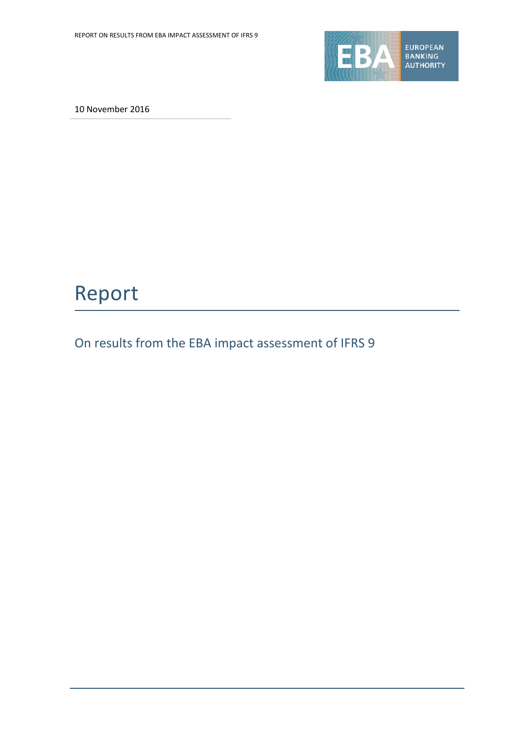

10 November 2016

# Report

On results from the EBA impact assessment of IFRS 9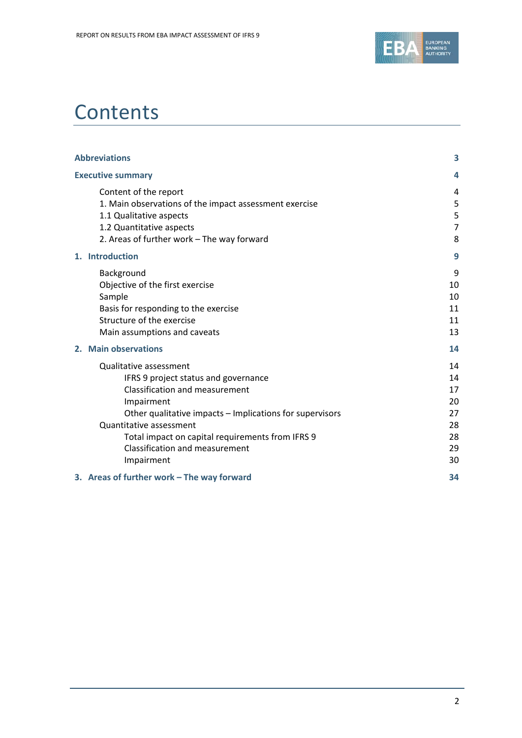

# **Contents**

| <b>Abbreviations</b>                                                                                                                                                                                                                                                                                                    | 3                                                  |
|-------------------------------------------------------------------------------------------------------------------------------------------------------------------------------------------------------------------------------------------------------------------------------------------------------------------------|----------------------------------------------------|
| <b>Executive summary</b>                                                                                                                                                                                                                                                                                                | 4                                                  |
| Content of the report<br>1. Main observations of the impact assessment exercise<br>1.1 Qualitative aspects<br>1.2 Quantitative aspects<br>2. Areas of further work - The way forward                                                                                                                                    | 4<br>5<br>5<br>$\overline{7}$<br>8                 |
| 1. Introduction                                                                                                                                                                                                                                                                                                         | 9                                                  |
| Background<br>Objective of the first exercise<br>Sample<br>Basis for responding to the exercise<br>Structure of the exercise<br>Main assumptions and caveats                                                                                                                                                            | 9<br>10<br>10<br>11<br>11<br>13                    |
| 2. Main observations                                                                                                                                                                                                                                                                                                    | 14                                                 |
| Qualitative assessment<br>IFRS 9 project status and governance<br><b>Classification and measurement</b><br>Impairment<br>Other qualitative impacts - Implications for supervisors<br>Quantitative assessment<br>Total impact on capital requirements from IFRS 9<br><b>Classification and measurement</b><br>Impairment | 14<br>14<br>17<br>20<br>27<br>28<br>28<br>29<br>30 |
| 3. Areas of further work - The way forward                                                                                                                                                                                                                                                                              | 34                                                 |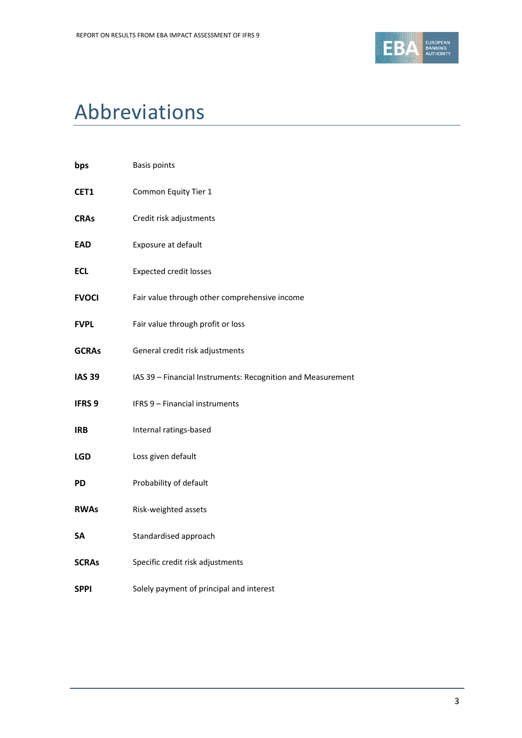

# Abbreviations

| bps               | <b>Basis points</b>                                         |
|-------------------|-------------------------------------------------------------|
| CET1              | Common Equity Tier 1                                        |
| <b>CRAs</b>       | Credit risk adjustments                                     |
| <b>EAD</b>        | Exposure at default                                         |
| <b>ECL</b>        | <b>Expected credit losses</b>                               |
| <b>FVOCI</b>      | Fair value through other comprehensive income               |
| <b>FVPL</b>       | Fair value through profit or loss                           |
| <b>GCRAs</b>      | General credit risk adjustments                             |
| <b>IAS 39</b>     | IAS 39 - Financial Instruments: Recognition and Measurement |
| IFRS <sub>9</sub> | <b>IFRS 9 - Financial instruments</b>                       |
| <b>IRB</b>        | Internal ratings-based                                      |
| <b>LGD</b>        | Loss given default                                          |
| <b>PD</b>         | Probability of default                                      |
| <b>RWAs</b>       | Risk-weighted assets                                        |
| <b>SA</b>         | Standardised approach                                       |
| <b>SCRAs</b>      | Specific credit risk adjustments                            |
| <b>SPPI</b>       | Solely payment of principal and interest                    |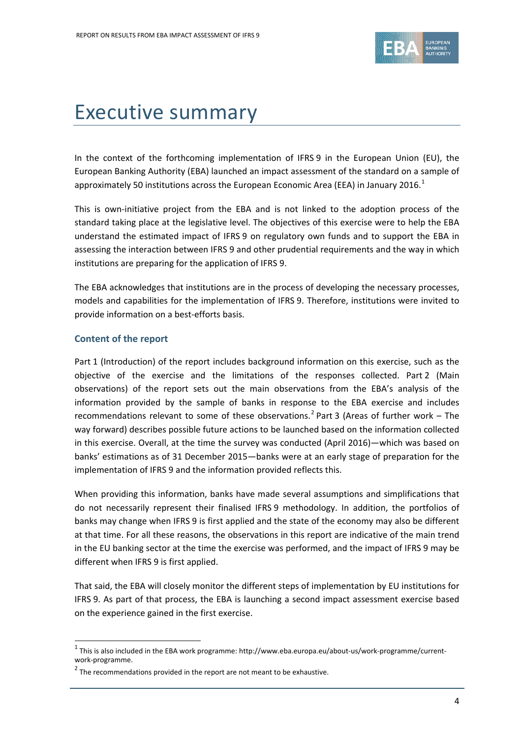

# Executive summary

In the context of the forthcoming implementation of IFRS 9 in the European Union (EU), the European Banking Authority (EBA) launched an impact assessment of the standard on a sample of approximately 50 institutions across the European Economic Area (EEA) in January 20[1](#page-3-0)6.<sup>1</sup>

This is own-initiative project from the EBA and is not linked to the adoption process of the standard taking place at the legislative level. The objectives of this exercise were to help the EBA understand the estimated impact of IFRS 9 on regulatory own funds and to support the EBA in assessing the interaction between IFRS 9 and other prudential requirements and the way in which institutions are preparing for the application of IFRS 9.

The EBA acknowledges that institutions are in the process of developing the necessary processes, models and capabilities for the implementation of IFRS 9. Therefore, institutions were invited to provide information on a best-efforts basis.

## **Content of the report**

 $\overline{a}$ 

Part [1](#page-8-0) (Introduction) of the report includes background information on this exercise, such as the objective of the exercise and the limitations of the responses collected. Part [2](#page-13-0) (Main observations) of the report sets out the main observations from the EBA's analysis of the information provided by the sample of banks in response to the EBA exercise and includes recommendations relevant to some of these observations.<sup>[2](#page-3-1)</sup> Part [3](#page-33-0) (Areas of further work – The way forward) describes possible future actions to be launched based on the information collected in this exercise. Overall, at the time the survey was conducted (April 2016)—which was based on banks' estimations as of 31 December 2015—banks were at an early stage of preparation for the implementation of IFRS 9 and the information provided reflects this.

When providing this information, banks have made several assumptions and simplifications that do not necessarily represent their finalised IFRS 9 methodology. In addition, the portfolios of banks may change when IFRS 9 is first applied and the state of the economy may also be different at that time. For all these reasons, the observations in this report are indicative of the main trend in the EU banking sector at the time the exercise was performed, and the impact of IFRS 9 may be different when IFRS 9 is first applied.

That said, the EBA will closely monitor the different steps of implementation by EU institutions for IFRS 9. As part of that process, the EBA is launching a second impact assessment exercise based on the experience gained in the first exercise.

<span id="page-3-0"></span> $1$  This is also included in the EBA work programme: http://www.eba.europa.eu/about-us/work-programme/currentwork-programme.

<span id="page-3-1"></span> $2$  The recommendations provided in the report are not meant to be exhaustive.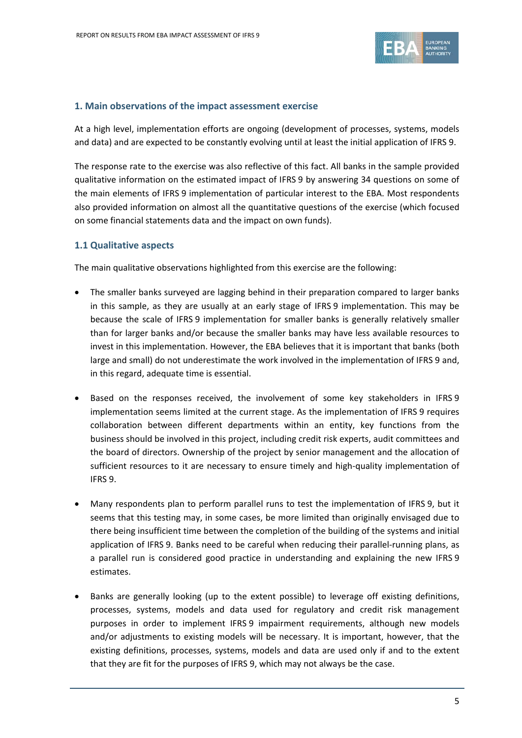

## **1. Main observations of the impact assessment exercise**

At a high level, implementation efforts are ongoing (development of processes, systems, models and data) and are expected to be constantly evolving until at least the initial application of IFRS 9.

The response rate to the exercise was also reflective of this fact. All banks in the sample provided qualitative information on the estimated impact of IFRS 9 by answering 34 questions on some of the main elements of IFRS 9 implementation of particular interest to the EBA. Most respondents also provided information on almost all the quantitative questions of the exercise (which focused on some financial statements data and the impact on own funds).

## **1.1 Qualitative aspects**

The main qualitative observations highlighted from this exercise are the following:

- The smaller banks surveyed are lagging behind in their preparation compared to larger banks in this sample, as they are usually at an early stage of IFRS 9 implementation. This may be because the scale of IFRS 9 implementation for smaller banks is generally relatively smaller than for larger banks and/or because the smaller banks may have less available resources to invest in this implementation. However, the EBA believes that it is important that banks (both large and small) do not underestimate the work involved in the implementation of IFRS 9 and, in this regard, adequate time is essential.
- Based on the responses received, the involvement of some key stakeholders in IFRS 9 implementation seems limited at the current stage. As the implementation of IFRS 9 requires collaboration between different departments within an entity, key functions from the business should be involved in this project, including credit risk experts, audit committees and the board of directors. Ownership of the project by senior management and the allocation of sufficient resources to it are necessary to ensure timely and high-quality implementation of IFRS 9.
- Many respondents plan to perform parallel runs to test the implementation of IFRS 9, but it seems that this testing may, in some cases, be more limited than originally envisaged due to there being insufficient time between the completion of the building of the systems and initial application of IFRS 9. Banks need to be careful when reducing their parallel-running plans, as a parallel run is considered good practice in understanding and explaining the new IFRS 9 estimates.
- Banks are generally looking (up to the extent possible) to leverage off existing definitions, processes, systems, models and data used for regulatory and credit risk management purposes in order to implement IFRS 9 impairment requirements, although new models and/or adjustments to existing models will be necessary. It is important, however, that the existing definitions, processes, systems, models and data are used only if and to the extent that they are fit for the purposes of IFRS 9, which may not always be the case.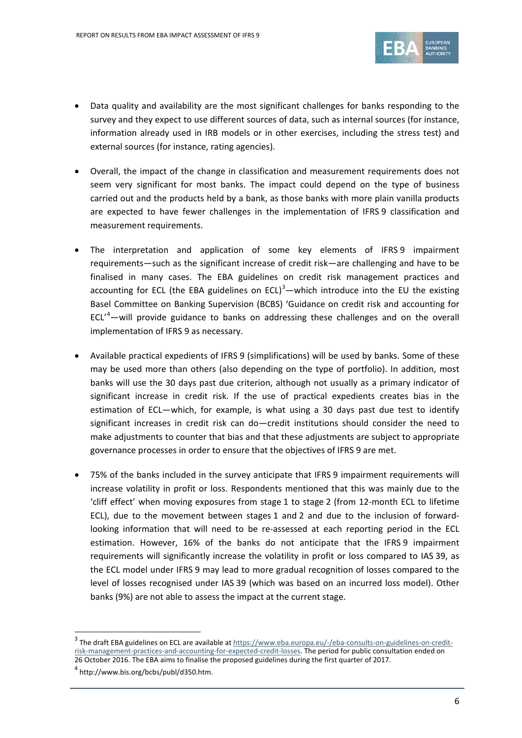

- Data quality and availability are the most significant challenges for banks responding to the survey and they expect to use different sources of data, such as internal sources (for instance, information already used in IRB models or in other exercises, including the stress test) and external sources (for instance, rating agencies).
- Overall, the impact of the change in classification and measurement requirements does not seem very significant for most banks. The impact could depend on the type of business carried out and the products held by a bank, as those banks with more plain vanilla products are expected to have fewer challenges in the implementation of IFRS 9 classification and measurement requirements.
- The interpretation and application of some key elements of IFRS 9 impairment requirements—such as the significant increase of credit risk—are challenging and have to be finalised in many cases. The EBA guidelines on credit risk management practices and accounting for ECL (the EBA guidelines on ECL) $3$ —which introduce into the EU the existing Basel Committee on Banking Supervision (BCBS) 'Guidance on credit risk and accounting for  $ECL^4$  $ECL^4$  -will provide guidance to banks on addressing these challenges and on the overall implementation of IFRS 9 as necessary.
- Available practical expedients of IFRS 9 (simplifications) will be used by banks. Some of these may be used more than others (also depending on the type of portfolio). In addition, most banks will use the 30 days past due criterion, although not usually as a primary indicator of significant increase in credit risk. If the use of practical expedients creates bias in the estimation of ECL—which, for example, is what using a 30 days past due test to identify significant increases in credit risk can do—credit institutions should consider the need to make adjustments to counter that bias and that these adjustments are subject to appropriate governance processes in order to ensure that the objectives of IFRS 9 are met.
- 75% of the banks included in the survey anticipate that IFRS 9 impairment requirements will increase volatility in profit or loss. Respondents mentioned that this was mainly due to the 'cliff effect' when moving exposures from stage 1 to stage 2 (from 12-month ECL to lifetime ECL), due to the movement between stages 1 and 2 and due to the inclusion of forwardlooking information that will need to be re-assessed at each reporting period in the ECL estimation. However, 16% of the banks do not anticipate that the IFRS 9 impairment requirements will significantly increase the volatility in profit or loss compared to IAS 39, as the ECL model under IFRS 9 may lead to more gradual recognition of losses compared to the level of losses recognised under IAS 39 (which was based on an incurred loss model). Other banks (9%) are not able to assess the impact at the current stage.

<span id="page-5-0"></span> $3$  The draft EBA guidelines on ECL are available at  $\frac{https://www.eba.europa.eu/~/eba-consults-on-guidelines-on-credit-}$ [risk-management-practices-and-accounting-for-expected-credit-losses.](https://www.eba.europa.eu/-/eba-consults-on-guidelines-on-credit-risk-management-practices-and-accounting-for-expected-credit-losses) The period for public consultation ended on 26 October 2016. The EBA aims to finalise the proposed guidelines during the first quarter of 2017.

<span id="page-5-1"></span> $4$  http://www.bis.org/bcbs/publ/d350.htm.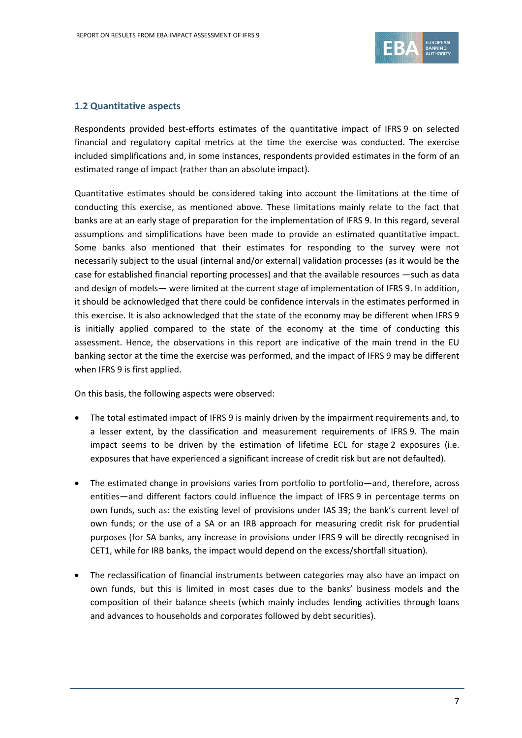

## **1.2 Quantitative aspects**

Respondents provided best-efforts estimates of the quantitative impact of IFRS 9 on selected financial and regulatory capital metrics at the time the exercise was conducted. The exercise included simplifications and, in some instances, respondents provided estimates in the form of an estimated range of impact (rather than an absolute impact).

Quantitative estimates should be considered taking into account the limitations at the time of conducting this exercise, as mentioned above. These limitations mainly relate to the fact that banks are at an early stage of preparation for the implementation of IFRS 9. In this regard, several assumptions and simplifications have been made to provide an estimated quantitative impact. Some banks also mentioned that their estimates for responding to the survey were not necessarily subject to the usual (internal and/or external) validation processes (as it would be the case for established financial reporting processes) and that the available resources —such as data and design of models— were limited at the current stage of implementation of IFRS 9. In addition, it should be acknowledged that there could be confidence intervals in the estimates performed in this exercise. It is also acknowledged that the state of the economy may be different when IFRS 9 is initially applied compared to the state of the economy at the time of conducting this assessment. Hence, the observations in this report are indicative of the main trend in the EU banking sector at the time the exercise was performed, and the impact of IFRS 9 may be different when IFRS 9 is first applied.

On this basis, the following aspects were observed:

- The total estimated impact of IFRS 9 is mainly driven by the impairment requirements and, to a lesser extent, by the classification and measurement requirements of IFRS 9. The main impact seems to be driven by the estimation of lifetime ECL for stage 2 exposures (i.e. exposures that have experienced a significant increase of credit risk but are not defaulted).
- The estimated change in provisions varies from portfolio to portfolio—and, therefore, across entities—and different factors could influence the impact of IFRS 9 in percentage terms on own funds, such as: the existing level of provisions under IAS 39; the bank's current level of own funds; or the use of a SA or an IRB approach for measuring credit risk for prudential purposes (for SA banks, any increase in provisions under IFRS 9 will be directly recognised in CET1, while for IRB banks, the impact would depend on the excess/shortfall situation).
- The reclassification of financial instruments between categories may also have an impact on own funds, but this is limited in most cases due to the banks' business models and the composition of their balance sheets (which mainly includes lending activities through loans and advances to households and corporates followed by debt securities).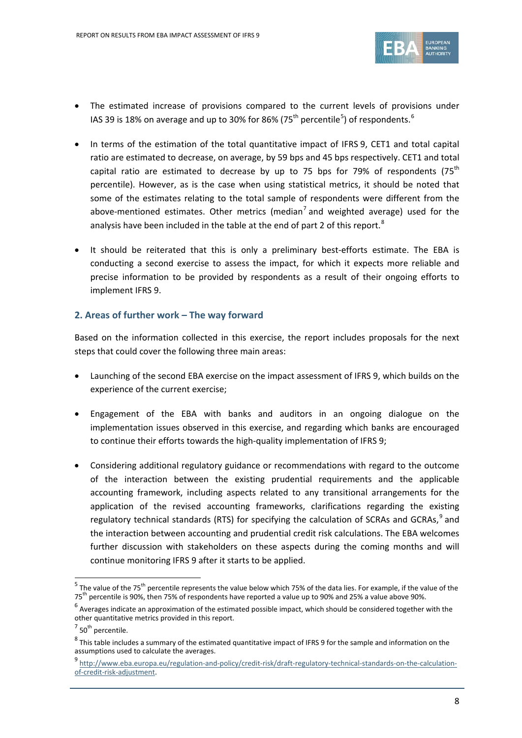

- The estimated increase of provisions compared to the current levels of provisions under IAS 39 is 18% on average and up to 30% for 86% (7[5](#page-7-0)<sup>th</sup> percentile<sup>5</sup>) of respondents.<sup>[6](#page-7-1)</sup>
- In terms of the estimation of the total quantitative impact of IFRS 9, CET1 and total capital ratio are estimated to decrease, on average, by 59 bps and 45 bps respectively. CET1 and total capital ratio are estimated to decrease by up to 75 bps for 79% of respondents (75<sup>th</sup> percentile). However, as is the case when using statistical metrics, it should be noted that some of the estimates relating to the total sample of respondents were different from the above-mentioned estimates. Other metrics (median<sup>[7](#page-7-2)</sup> and weighted average) used for the analysis have been included in the table at the end of part 2 of this report.<sup>[8](#page-7-3)</sup>
- It should be reiterated that this is only a preliminary best-efforts estimate. The EBA is conducting a second exercise to assess the impact, for which it expects more reliable and precise information to be provided by respondents as a result of their ongoing efforts to implement IFRS 9.

# **2. Areas of further work – The way forward**

Based on the information collected in this exercise, the report includes proposals for the next steps that could cover the following three main areas:

- Launching of the second EBA exercise on the impact assessment of IFRS 9, which builds on the experience of the current exercise;
- Engagement of the EBA with banks and auditors in an ongoing dialogue on the implementation issues observed in this exercise, and regarding which banks are encouraged to continue their efforts towards the high-quality implementation of IFRS 9;
- Considering additional regulatory guidance or recommendations with regard to the outcome of the interaction between the existing prudential requirements and the applicable accounting framework, including aspects related to any transitional arrangements for the application of the revised accounting frameworks, clarifications regarding the existing regulatory technical standards (RTS) for specifying the calculation of SCRAs and GCRAs,<sup>[9](#page-7-4)</sup> and the interaction between accounting and prudential credit risk calculations. The EBA welcomes further discussion with stakeholders on these aspects during the coming months and will continue monitoring IFRS 9 after it starts to be applied.

<span id="page-7-0"></span> $5$  The value of the 75<sup>th</sup> percentile represents the value below which 75% of the data lies. For example, if the value of the 75th percentile is 90%, then 75% of respondents have reported a value up to 90% and 25% a value above 90%.

<span id="page-7-1"></span> $^6$  Averages indicate an approximation of the estimated possible impact, which should be considered together with the other quantitative metrics provided in this report.

<span id="page-7-2"></span> $7$  50<sup>th</sup> percentile.

<span id="page-7-3"></span> $8$  This table includes a summary of the estimated quantitative impact of IFRS 9 for the sample and information on the assumptions used to calculate the averages.

<span id="page-7-4"></span><sup>9</sup> [http://www.eba.europa.eu/regulation-and-policy/credit-risk/draft-regulatory-technical-standards-on-the-calculation](http://www.eba.europa.eu/regulation-and-policy/credit-risk/draft-regulatory-technical-standards-on-the-calculation-of-credit-risk-adjustment)[of-credit-risk-adjustment.](http://www.eba.europa.eu/regulation-and-policy/credit-risk/draft-regulatory-technical-standards-on-the-calculation-of-credit-risk-adjustment)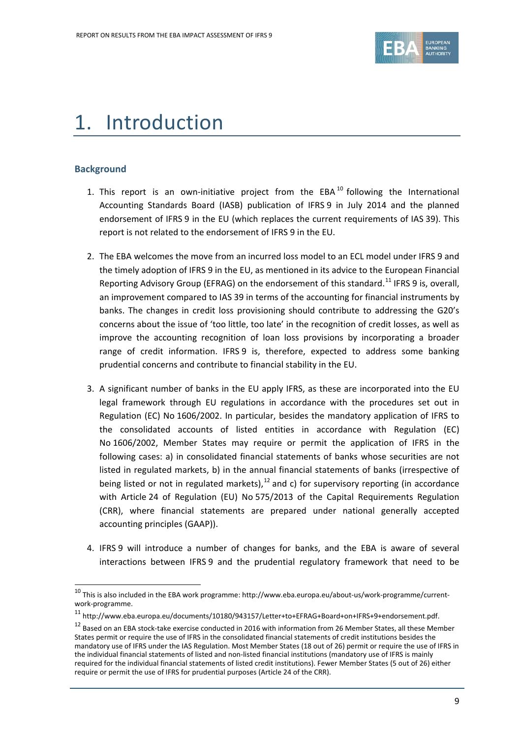

# <span id="page-8-0"></span>1. Introduction

## **Background**

- 1. This report is an own-initiative project from the EBA  $^{10}$  $^{10}$  $^{10}$  following the International Accounting Standards Board (IASB) publication of IFRS 9 in July 2014 and the planned endorsement of IFRS 9 in the EU (which replaces the current requirements of IAS 39). This report is not related to the endorsement of IFRS 9 in the EU.
- 2. The EBA welcomes the move from an incurred loss model to an ECL model under IFRS 9 and the timely adoption of IFRS 9 in the EU, as mentioned in its advice to the European Financial Reporting Advisory Group (EFRAG) on the endorsement of this standard.<sup>[11](#page-8-2)</sup> IFRS 9 is, overall, an improvement compared to IAS 39 in terms of the accounting for financial instruments by banks. The changes in credit loss provisioning should contribute to addressing the G20's concerns about the issue of 'too little, too late' in the recognition of credit losses, as well as improve the accounting recognition of loan loss provisions by incorporating a broader range of credit information. IFRS 9 is, therefore, expected to address some banking prudential concerns and contribute to financial stability in the EU.
- 3. A significant number of banks in the EU apply IFRS, as these are incorporated into the EU legal framework through EU regulations in accordance with the procedures set out in Regulation (EC) No 1606/2002. In particular, besides the mandatory application of IFRS to the consolidated accounts of listed entities in accordance with Regulation (EC) No 1606/2002, Member States may require or permit the application of IFRS in the following cases: a) in consolidated financial statements of banks whose securities are not listed in regulated markets, b) in the annual financial statements of banks (irrespective of being listed or not in regulated markets), <sup>[12](#page-8-3)</sup> and c) for supervisory reporting (in accordance with Article 24 of Regulation (EU) No 575/2013 of the Capital Requirements Regulation (CRR), where financial statements are prepared under national generally accepted accounting principles (GAAP)).
- 4. IFRS 9 will introduce a number of changes for banks, and the EBA is aware of several interactions between IFRS 9 and the prudential regulatory framework that need to be

<span id="page-8-1"></span><sup>10</sup> This is also included in the EBA work programme: http://www.eba.europa.eu/about-us/work-programme/currentwork-programme.

<span id="page-8-2"></span><sup>11</sup> http://www.eba.europa.eu/documents/10180/943157/Letter+to+EFRAG+Board+on+IFRS+9+endorsement.pdf.

<span id="page-8-3"></span><sup>&</sup>lt;sup>12</sup> Based on an EBA stock-take exercise conducted in 2016 with information from 26 Member States, all these Member States permit or require the use of IFRS in the consolidated financial statements of credit institutions besides the mandatory use of IFRS under the IAS Regulation. Most Member States (18 out of 26) permit or require the use of IFRS in the individual financial statements of listed and non-listed financial institutions (mandatory use of IFRS is mainly required for the individual financial statements of listed credit institutions). Fewer Member States (5 out of 26) either require or permit the use of IFRS for prudential purposes (Article 24 of the CRR).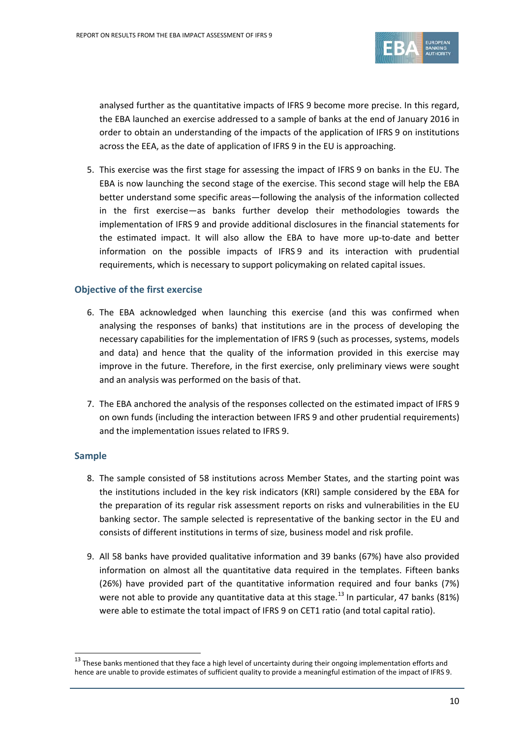

analysed further as the quantitative impacts of IFRS 9 become more precise. In this regard, the EBA launched an exercise addressed to a sample of banks at the end of January 2016 in order to obtain an understanding of the impacts of the application of IFRS 9 on institutions across the EEA, as the date of application of IFRS 9 in the EU is approaching.

5. This exercise was the first stage for assessing the impact of IFRS 9 on banks in the EU. The EBA is now launching the second stage of the exercise. This second stage will help the EBA better understand some specific areas—following the analysis of the information collected in the first exercise—as banks further develop their methodologies towards the implementation of IFRS 9 and provide additional disclosures in the financial statements for the estimated impact. It will also allow the EBA to have more up-to-date and better information on the possible impacts of IFRS 9 and its interaction with prudential requirements, which is necessary to support policymaking on related capital issues.

## **Objective of the first exercise**

- 6. The EBA acknowledged when launching this exercise (and this was confirmed when analysing the responses of banks) that institutions are in the process of developing the necessary capabilities for the implementation of IFRS 9 (such as processes, systems, models and data) and hence that the quality of the information provided in this exercise may improve in the future. Therefore, in the first exercise, only preliminary views were sought and an analysis was performed on the basis of that.
- 7. The EBA anchored the analysis of the responses collected on the estimated impact of IFRS 9 on own funds (including the interaction between IFRS 9 and other prudential requirements) and the implementation issues related to IFRS 9.

## **Sample**

- 8. The sample consisted of 58 institutions across Member States, and the starting point was the institutions included in the key risk indicators (KRI) sample considered by the EBA for the preparation of its regular risk assessment reports on risks and vulnerabilities in the EU banking sector. The sample selected is representative of the banking sector in the EU and consists of different institutions in terms of size, business model and risk profile.
- 9. All 58 banks have provided qualitative information and 39 banks (67%) have also provided information on almost all the quantitative data required in the templates. Fifteen banks (26%) have provided part of the quantitative information required and four banks (7%) were not able to provide any quantitative data at this stage.<sup>[13](#page-9-0)</sup> In particular, 47 banks (81%) were able to estimate the total impact of IFRS 9 on CET1 ratio (and total capital ratio).

<span id="page-9-0"></span> $13$  These banks mentioned that they face a high level of uncertainty during their ongoing implementation efforts and hence are unable to provide estimates of sufficient quality to provide a meaningful estimation of the impact of IFRS 9.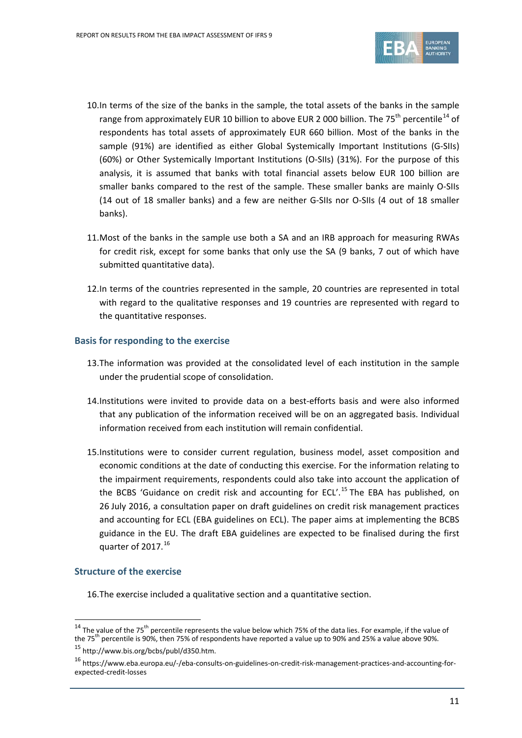

- 10.In terms of the size of the banks in the sample, the total assets of the banks in the sample range from approximately EUR 10 billion to above EUR 2 000 billion. The 75<sup>th</sup> percentile<sup>[14](#page-10-0)</sup> of respondents has total assets of approximately EUR 660 billion. Most of the banks in the sample (91%) are identified as either Global Systemically Important Institutions (G-SIIs) (60%) or Other Systemically Important Institutions (O-SIIs) (31%). For the purpose of this analysis, it is assumed that banks with total financial assets below EUR 100 billion are smaller banks compared to the rest of the sample. These smaller banks are mainly O-SIIs (14 out of 18 smaller banks) and a few are neither G-SIIs nor O-SIIs (4 out of 18 smaller banks).
- 11.Most of the banks in the sample use both a SA and an IRB approach for measuring RWAs for credit risk, except for some banks that only use the SA (9 banks, 7 out of which have submitted quantitative data).
- 12.In terms of the countries represented in the sample, 20 countries are represented in total with regard to the qualitative responses and 19 countries are represented with regard to the quantitative responses.

## **Basis for responding to the exercise**

- 13.The information was provided at the consolidated level of each institution in the sample under the prudential scope of consolidation.
- 14.Institutions were invited to provide data on a best-efforts basis and were also informed that any publication of the information received will be on an aggregated basis. Individual information received from each institution will remain confidential.
- 15.Institutions were to consider current regulation, business model, asset composition and economic conditions at the date of conducting this exercise. For the information relating to the impairment requirements, respondents could also take into account the application of the BCBS 'Guidance on credit risk and accounting for ECL'.<sup>[15](#page-10-1)</sup> The EBA has published, on 26 July 2016, a consultation paper on draft guidelines on credit risk management practices and accounting for ECL (EBA guidelines on ECL). The paper aims at implementing the BCBS guidance in the EU. The draft EBA guidelines are expected to be finalised during the first quarter of 2017. $^{16}$  $^{16}$  $^{16}$

## **Structure of the exercise**

 $\overline{a}$ 

16.The exercise included a qualitative section and a quantitative section.

<span id="page-10-0"></span><sup>&</sup>lt;sup>14</sup> The value of the 75<sup>th</sup> percentile represents the value below which 75% of the data lies. For example, if the value of the 75<sup>th</sup> percentile is 90%, then 75% of respondents have reported a value up to 90% and 25% a value above 90%.

<span id="page-10-1"></span><sup>15</sup> http://www.bis.org/bcbs/publ/d350.htm.

<span id="page-10-2"></span><sup>16</sup> https://www.eba.europa.eu/-/eba-consults-on-guidelines-on-credit-risk-management-practices-and-accounting-forexpected-credit-losses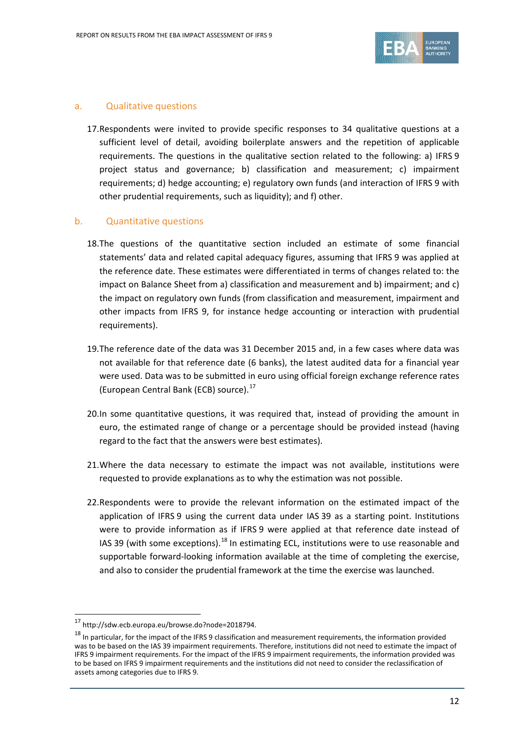

## a. Qualitative questions

17.Respondents were invited to provide specific responses to 34 qualitative questions at a sufficient level of detail, avoiding boilerplate answers and the repetition of applicable requirements. The questions in the qualitative section related to the following: a) IFRS 9 project status and governance; b) classification and measurement; c) impairment requirements; d) hedge accounting; e) regulatory own funds (and interaction of IFRS 9 with other prudential requirements, such as liquidity); and f) other.

## b. Quantitative questions

- 18.The questions of the quantitative section included an estimate of some financial statements' data and related capital adequacy figures, assuming that IFRS 9 was applied at the reference date. These estimates were differentiated in terms of changes related to: the impact on Balance Sheet from a) classification and measurement and b) impairment; and c) the impact on regulatory own funds (from classification and measurement, impairment and other impacts from IFRS 9, for instance hedge accounting or interaction with prudential requirements).
- 19.The reference date of the data was 31 December 2015 and, in a few cases where data was not available for that reference date (6 banks), the latest audited data for a financial year were used. Data was to be submitted in euro using official foreign exchange reference rates (European Central Bank (ECB) source).<sup>[17](#page-11-0)</sup>
- 20.In some quantitative questions, it was required that, instead of providing the amount in euro, the estimated range of change or a percentage should be provided instead (having regard to the fact that the answers were best estimates).
- 21.Where the data necessary to estimate the impact was not available, institutions were requested to provide explanations as to why the estimation was not possible.
- 22.Respondents were to provide the relevant information on the estimated impact of the application of IFRS 9 using the current data under IAS 39 as a starting point. Institutions were to provide information as if IFRS 9 were applied at that reference date instead of IAS 39 (with some exceptions).<sup>[18](#page-11-1)</sup> In estimating ECL, institutions were to use reasonable and supportable forward-looking information available at the time of completing the exercise, and also to consider the prudential framework at the time the exercise was launched.

<span id="page-11-0"></span><sup>17</sup> http://sdw.ecb.europa.eu/browse.do?node=2018794.

<span id="page-11-1"></span> $18$  In particular, for the impact of the IFRS 9 classification and measurement requirements, the information provided was to be based on the IAS 39 impairment requirements. Therefore, institutions did not need to estimate the impact of IFRS 9 impairment requirements. For the impact of the IFRS 9 impairment requirements, the information provided was to be based on IFRS 9 impairment requirements and the institutions did not need to consider the reclassification of assets among categories due to IFRS 9.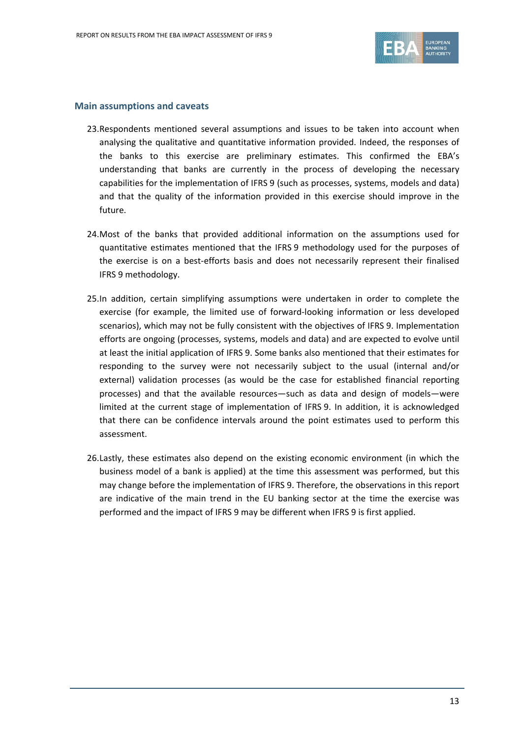

### **Main assumptions and caveats**

- 23.Respondents mentioned several assumptions and issues to be taken into account when analysing the qualitative and quantitative information provided. Indeed, the responses of the banks to this exercise are preliminary estimates. This confirmed the EBA's understanding that banks are currently in the process of developing the necessary capabilities for the implementation of IFRS 9 (such as processes, systems, models and data) and that the quality of the information provided in this exercise should improve in the future.
- 24.Most of the banks that provided additional information on the assumptions used for quantitative estimates mentioned that the IFRS 9 methodology used for the purposes of the exercise is on a best-efforts basis and does not necessarily represent their finalised IFRS 9 methodology.
- 25.In addition, certain simplifying assumptions were undertaken in order to complete the exercise (for example, the limited use of forward-looking information or less developed scenarios), which may not be fully consistent with the objectives of IFRS 9. Implementation efforts are ongoing (processes, systems, models and data) and are expected to evolve until at least the initial application of IFRS 9. Some banks also mentioned that their estimates for responding to the survey were not necessarily subject to the usual (internal and/or external) validation processes (as would be the case for established financial reporting processes) and that the available resources—such as data and design of models—were limited at the current stage of implementation of IFRS 9. In addition, it is acknowledged that there can be confidence intervals around the point estimates used to perform this assessment.
- 26.Lastly, these estimates also depend on the existing economic environment (in which the business model of a bank is applied) at the time this assessment was performed, but this may change before the implementation of IFRS 9. Therefore, the observations in this report are indicative of the main trend in the EU banking sector at the time the exercise was performed and the impact of IFRS 9 may be different when IFRS 9 is first applied.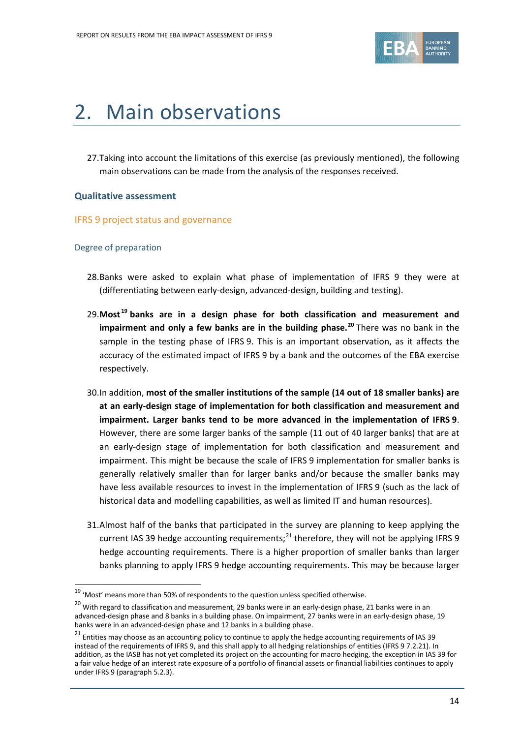

# <span id="page-13-0"></span>2. Main observations

27.Taking into account the limitations of this exercise (as previously mentioned), the following main observations can be made from the analysis of the responses received.

## **Qualitative assessment**

## IFRS 9 project status and governance

#### Degree of preparation

- 28.Banks were asked to explain what phase of implementation of IFRS 9 they were at (differentiating between early-design, advanced-design, building and testing).
- 29.**Most [19](#page-13-1) banks are in a design phase for both classification and measurement and impairment and only a few banks are in the building phase. [20](#page-13-2)** There was no bank in the sample in the testing phase of IFRS 9. This is an important observation, as it affects the accuracy of the estimated impact of IFRS 9 by a bank and the outcomes of the EBA exercise respectively.
- 30.In addition, **most of the smaller institutions of the sample (14 out of 18 smaller banks) are at an early-design stage of implementation for both classification and measurement and impairment. Larger banks tend to be more advanced in the implementation of IFRS 9**. However, there are some larger banks of the sample (11 out of 40 larger banks) that are at an early-design stage of implementation for both classification and measurement and impairment. This might be because the scale of IFRS 9 implementation for smaller banks is generally relatively smaller than for larger banks and/or because the smaller banks may have less available resources to invest in the implementation of IFRS 9 (such as the lack of historical data and modelling capabilities, as well as limited IT and human resources).
- 31.Almost half of the banks that participated in the survey are planning to keep applying the current IAS 39 hedge accounting requirements;<sup>[21](#page-13-3)</sup> therefore, they will not be applying IFRS 9 hedge accounting requirements. There is a higher proportion of smaller banks than larger banks planning to apply IFRS 9 hedge accounting requirements. This may be because larger

<span id="page-13-1"></span><sup>19</sup> 'Most' means more than 50% of respondents to the question unless specified otherwise.

<span id="page-13-2"></span> $20$  With regard to classification and measurement, 29 banks were in an early-design phase, 21 banks were in an advanced-design phase and 8 banks in a building phase. On impairment, 27 banks were in an early-design phase, 19 banks were in an advanced-design phase and 12 banks in a building phase.

<span id="page-13-3"></span> $21$  Entities may choose as an accounting policy to continue to apply the hedge accounting requirements of IAS 39 instead of the requirements of IFRS 9, and this shall apply to all hedging relationships of entities (IFRS 9 7.2.21). In addition, as the IASB has not yet completed its project on the accounting for macro hedging, the exception in IAS 39 for a fair value hedge of an interest rate exposure of a portfolio of financial assets or financial liabilities continues to apply under IFRS 9 (paragraph 5.2.3).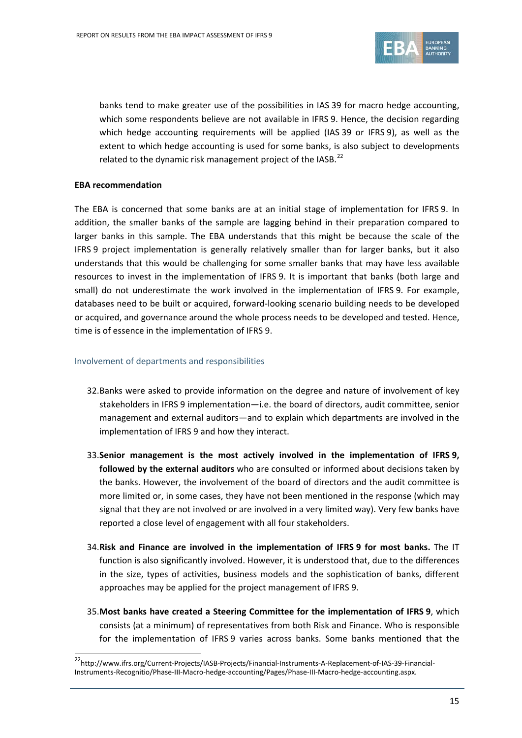

banks tend to make greater use of the possibilities in IAS 39 for macro hedge accounting, which some respondents believe are not available in IFRS 9. Hence, the decision regarding which hedge accounting requirements will be applied (IAS 39 or IFRS 9), as well as the extent to which hedge accounting is used for some banks, is also subject to developments related to the dynamic risk management project of the IASB.<sup>[22](#page-14-0)</sup>

## **EBA recommendation**

 $\overline{a}$ 

The EBA is concerned that some banks are at an initial stage of implementation for IFRS 9. In addition, the smaller banks of the sample are lagging behind in their preparation compared to larger banks in this sample. The EBA understands that this might be because the scale of the IFRS 9 project implementation is generally relatively smaller than for larger banks, but it also understands that this would be challenging for some smaller banks that may have less available resources to invest in the implementation of IFRS 9. It is important that banks (both large and small) do not underestimate the work involved in the implementation of IFRS 9. For example, databases need to be built or acquired, forward-looking scenario building needs to be developed or acquired, and governance around the whole process needs to be developed and tested. Hence, time is of essence in the implementation of IFRS 9.

#### Involvement of departments and responsibilities

- 32.Banks were asked to provide information on the degree and nature of involvement of key stakeholders in IFRS 9 implementation—i.e. the board of directors, audit committee, senior management and external auditors—and to explain which departments are involved in the implementation of IFRS 9 and how they interact.
- 33.**Senior management is the most actively involved in the implementation of IFRS 9, followed by the external auditors** who are consulted or informed about decisions taken by the banks. However, the involvement of the board of directors and the audit committee is more limited or, in some cases, they have not been mentioned in the response (which may signal that they are not involved or are involved in a very limited way). Very few banks have reported a close level of engagement with all four stakeholders.
- 34.**Risk and Finance are involved in the implementation of IFRS 9 for most banks.** The IT function is also significantly involved. However, it is understood that, due to the differences in the size, types of activities, business models and the sophistication of banks, different approaches may be applied for the project management of IFRS 9.
- 35.**Most banks have created a Steering Committee for the implementation of IFRS 9**, which consists (at a minimum) of representatives from both Risk and Finance. Who is responsible for the implementation of IFRS 9 varies across banks. Some banks mentioned that the

<span id="page-14-0"></span><sup>22</sup>http://www.ifrs.org/Current-Projects/IASB-Projects/Financial-Instruments-A-Replacement-of-IAS-39-Financial-Instruments-Recognitio/Phase-III-Macro-hedge-accounting/Pages/Phase-III-Macro-hedge-accounting.aspx.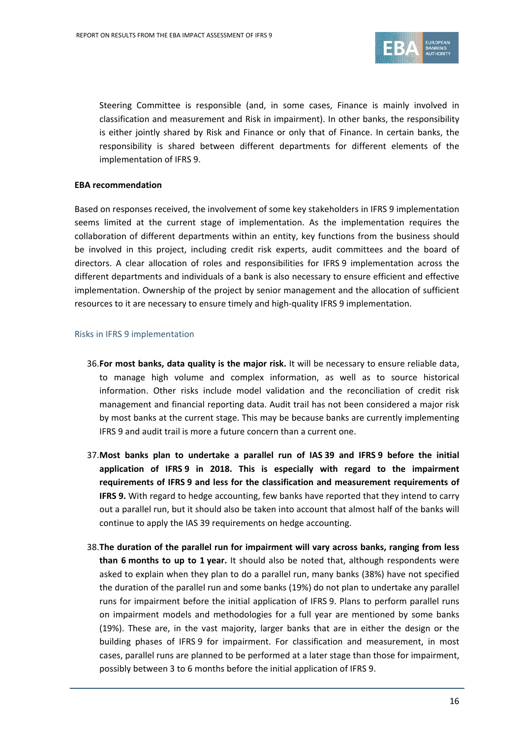

Steering Committee is responsible (and, in some cases, Finance is mainly involved in classification and measurement and Risk in impairment). In other banks, the responsibility is either jointly shared by Risk and Finance or only that of Finance. In certain banks, the responsibility is shared between different departments for different elements of the implementation of IFRS 9.

#### **EBA recommendation**

Based on responses received, the involvement of some key stakeholders in IFRS 9 implementation seems limited at the current stage of implementation. As the implementation requires the collaboration of different departments within an entity, key functions from the business should be involved in this project, including credit risk experts, audit committees and the board of directors. A clear allocation of roles and responsibilities for IFRS 9 implementation across the different departments and individuals of a bank is also necessary to ensure efficient and effective implementation. Ownership of the project by senior management and the allocation of sufficient resources to it are necessary to ensure timely and high-quality IFRS 9 implementation.

#### Risks in IFRS 9 implementation

- 36.**For most banks, data quality is the major risk.** It will be necessary to ensure reliable data, to manage high volume and complex information, as well as to source historical information. Other risks include model validation and the reconciliation of credit risk management and financial reporting data. Audit trail has not been considered a major risk by most banks at the current stage. This may be because banks are currently implementing IFRS 9 and audit trail is more a future concern than a current one.
- 37.**Most banks plan to undertake a parallel run of IAS 39 and IFRS 9 before the initial application of IFRS 9 in 2018. This is especially with regard to the impairment requirements of IFRS 9 and less for the classification and measurement requirements of IFRS 9.** With regard to hedge accounting, few banks have reported that they intend to carry out a parallel run, but it should also be taken into account that almost half of the banks will continue to apply the IAS 39 requirements on hedge accounting.
- 38.**The duration of the parallel run for impairment will vary across banks, ranging from less than 6 months to up to 1 year.** It should also be noted that, although respondents were asked to explain when they plan to do a parallel run, many banks (38%) have not specified the duration of the parallel run and some banks (19%) do not plan to undertake any parallel runs for impairment before the initial application of IFRS 9. Plans to perform parallel runs on impairment models and methodologies for a full year are mentioned by some banks (19%). These are, in the vast majority, larger banks that are in either the design or the building phases of IFRS 9 for impairment. For classification and measurement, in most cases, parallel runs are planned to be performed at a later stage than those for impairment, possibly between 3 to 6 months before the initial application of IFRS 9.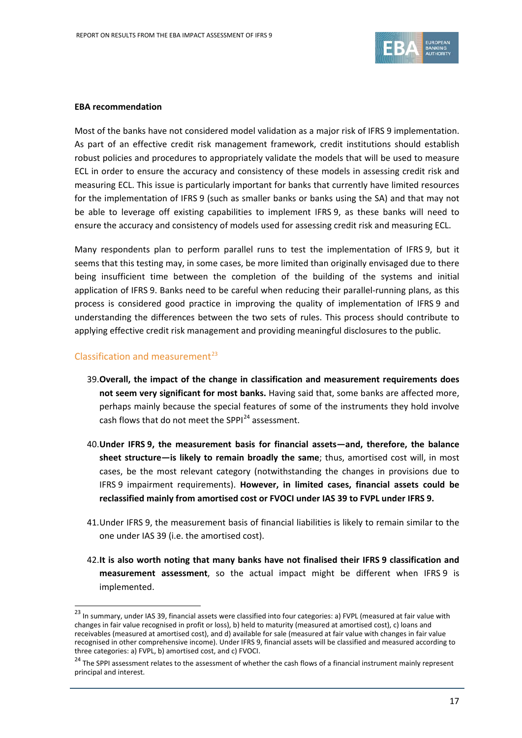

#### **EBA recommendation**

Most of the banks have not considered model validation as a major risk of IFRS 9 implementation. As part of an effective credit risk management framework, credit institutions should establish robust policies and procedures to appropriately validate the models that will be used to measure ECL in order to ensure the accuracy and consistency of these models in assessing credit risk and measuring ECL. This issue is particularly important for banks that currently have limited resources for the implementation of IFRS 9 (such as smaller banks or banks using the SA) and that may not be able to leverage off existing capabilities to implement IFRS 9, as these banks will need to ensure the accuracy and consistency of models used for assessing credit risk and measuring ECL.

Many respondents plan to perform parallel runs to test the implementation of IFRS 9, but it seems that this testing may, in some cases, be more limited than originally envisaged due to there being insufficient time between the completion of the building of the systems and initial application of IFRS 9. Banks need to be careful when reducing their parallel-running plans, as this process is considered good practice in improving the quality of implementation of IFRS 9 and understanding the differences between the two sets of rules. This process should contribute to applying effective credit risk management and providing meaningful disclosures to the public.

## Classification and measurement $^{23}$  $^{23}$  $^{23}$

- 39.**Overall, the impact of the change in classification and measurement requirements does not seem very significant for most banks.** Having said that, some banks are affected more, perhaps mainly because the special features of some of the instruments they hold involve cash flows that do not meet the SPPI<sup>[24](#page-16-1)</sup> assessment.
- 40.**Under IFRS 9, the measurement basis for financial assets—and, therefore, the balance sheet structure—is likely to remain broadly the same**; thus, amortised cost will, in most cases, be the most relevant category (notwithstanding the changes in provisions due to IFRS 9 impairment requirements). **However, in limited cases, financial assets could be reclassified mainly from amortised cost or FVOCI under IAS 39 to FVPL under IFRS 9.**
- 41.Under IFRS 9, the measurement basis of financial liabilities is likely to remain similar to the one under IAS 39 (i.e. the amortised cost).
- 42.**It is also worth noting that many banks have not finalised their IFRS 9 classification and measurement assessment**, so the actual impact might be different when IFRS 9 is implemented.

<span id="page-16-0"></span><sup>23</sup> In summary, under IAS 39, financial assets were classified into four categories: a) FVPL (measured at fair value with changes in fair value recognised in profit or loss), b) held to maturity (measured at amortised cost), c) loans and receivables (measured at amortised cost), and d) available for sale (measured at fair value with changes in fair value recognised in other comprehensive income). Under IFRS 9, financial assets will be classified and measured according to three categories: a) FVPL, b) amortised cost, and c) FVOCI.

<span id="page-16-1"></span><sup>&</sup>lt;sup>24</sup> The SPPI assessment relates to the assessment of whether the cash flows of a financial instrument mainly represent principal and interest.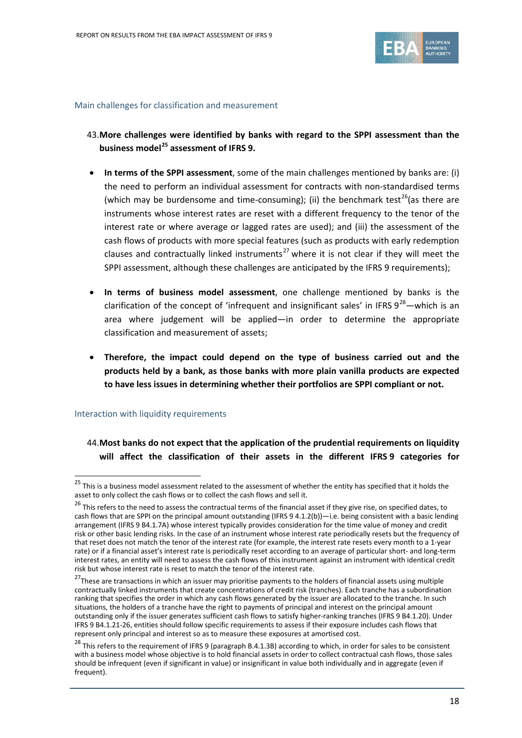

#### Main challenges for classification and measurement

- 43.**More challenges were identified by banks with regard to the SPPI assessment than the business model[25](#page-17-0) assessment of IFRS 9.**
- **In terms of the SPPI assessment**, some of the main challenges mentioned by banks are: (i) the need to perform an individual assessment for contracts with non-standardised terms (which may be burdensome and time-consuming); (ii) the benchmark test<sup>[26](#page-17-1)</sup>(as there are instruments whose interest rates are reset with a different frequency to the tenor of the interest rate or where average or lagged rates are used); and (iii) the assessment of the cash flows of products with more special features (such as products with early redemption clauses and contractually linked instruments<sup>[27](#page-17-2)</sup> where it is not clear if they will meet the SPPI assessment, although these challenges are anticipated by the IFRS 9 requirements);
- **In terms of business model assessment**, one challenge mentioned by banks is the clarification of the concept of 'infrequent and insignificant sales' in IFRS  $9^{28}$ —which is an area where judgement will be applied—in order to determine the appropriate classification and measurement of assets;
- **Therefore, the impact could depend on the type of business carried out and the products held by a bank, as those banks with more plain vanilla products are expected to have less issues in determining whether their portfolios are SPPI compliant or not.**

#### Interaction with liquidity requirements

 $\overline{a}$ 

# 44.**Most banks do not expect that the application of the prudential requirements on liquidity will affect the classification of their assets in the different IFRS 9 categories for**

<span id="page-17-0"></span> $25$  This is a business model assessment related to the assessment of whether the entity has specified that it holds the asset to only collect the cash flows or to collect the cash flows and sell it.

<span id="page-17-1"></span><sup>&</sup>lt;sup>26</sup> This refers to the need to assess the contractual terms of the financial asset if they give rise, on specified dates, to cash flows that are SPPI on the principal amount outstanding (IFRS 9 4.1.2(b))—i.e. being consistent with a basic lending arrangement (IFRS 9 B4.1.7A) whose interest typically provides consideration for the time value of money and credit risk or other basic lending risks. In the case of an instrument whose interest rate periodically resets but the frequency of that reset does not match the tenor of the interest rate (for example, the interest rate resets every month to a 1-year rate) or if a financial asset's interest rate is periodically reset according to an average of particular short- and long-term interest rates, an entity will need to assess the cash flows of this instrument against an instrument with identical credit risk but whose interest rate is reset to match the tenor of the interest rate.

<span id="page-17-2"></span><sup>&</sup>lt;sup>27</sup>These are transactions in which an issuer may prioritise payments to the holders of financial assets using multiple contractually linked instruments that create concentrations of credit risk (tranches). Each tranche has a subordination ranking that specifies the order in which any cash flows generated by the issuer are allocated to the tranche. In such situations, the holders of a tranche have the right to payments of principal and interest on the principal amount outstanding only if the issuer generates sufficient cash flows to satisfy higher-ranking tranches (IFRS 9 B4.1.20). Under IFRS 9 B4.1.21-26, entities should follow specific requirements to assess if their exposure includes cash flows that represent only principal and interest so as to measure these exposures at amortised cost.

<span id="page-17-3"></span><sup>&</sup>lt;sup>28</sup> This refers to the requirement of IFRS 9 (paragraph B.4.1.3B) according to which, in order for sales to be consistent with a business model whose objective is to hold financial assets in order to collect contractual cash flows, those sales should be infrequent (even if significant in value) or insignificant in value both individually and in aggregate (even if frequent).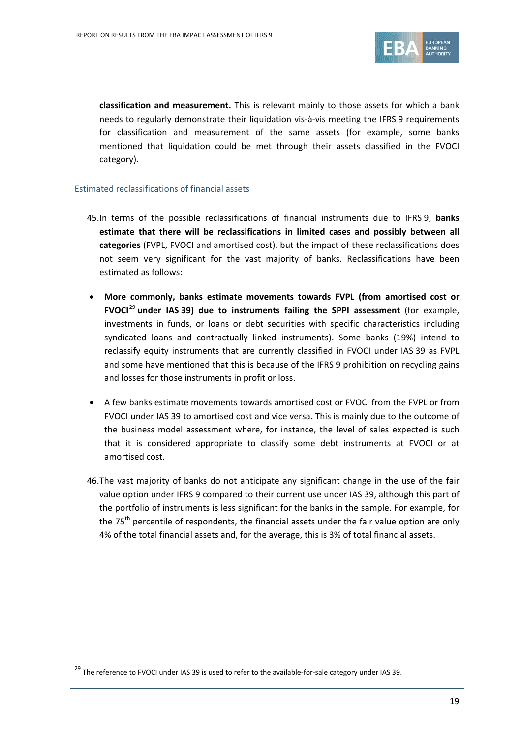

**classification and measurement.** This is relevant mainly to those assets for which a bank needs to regularly demonstrate their liquidation vis-à-vis meeting the IFRS 9 requirements for classification and measurement of the same assets (for example, some banks mentioned that liquidation could be met through their assets classified in the FVOCI category).

## Estimated reclassifications of financial assets

- 45.In terms of the possible reclassifications of financial instruments due to IFRS 9, **banks estimate that there will be reclassifications in limited cases and possibly between all categories** (FVPL, FVOCI and amortised cost), but the impact of these reclassifications does not seem very significant for the vast majority of banks. Reclassifications have been estimated as follows:
- **More commonly, banks estimate movements towards FVPL (from amortised cost or FVOCI**[29](#page-18-0) **under IAS 39) due to instruments failing the SPPI assessment** (for example, investments in funds, or loans or debt securities with specific characteristics including syndicated loans and contractually linked instruments). Some banks (19%) intend to reclassify equity instruments that are currently classified in FVOCI under IAS 39 as FVPL and some have mentioned that this is because of the IFRS 9 prohibition on recycling gains and losses for those instruments in profit or loss.
- A few banks estimate movements towards amortised cost or FVOCI from the FVPL or from FVOCI under IAS 39 to amortised cost and vice versa. This is mainly due to the outcome of the business model assessment where, for instance, the level of sales expected is such that it is considered appropriate to classify some debt instruments at FVOCI or at amortised cost.
- 46.The vast majority of banks do not anticipate any significant change in the use of the fair value option under IFRS 9 compared to their current use under IAS 39, although this part of the portfolio of instruments is less significant for the banks in the sample. For example, for the 75<sup>th</sup> percentile of respondents, the financial assets under the fair value option are only 4% of the total financial assets and, for the average, this is 3% of total financial assets.

<span id="page-18-0"></span><sup>&</sup>lt;sup>29</sup> The reference to FVOCI under IAS 39 is used to refer to the available-for-sale category under IAS 39.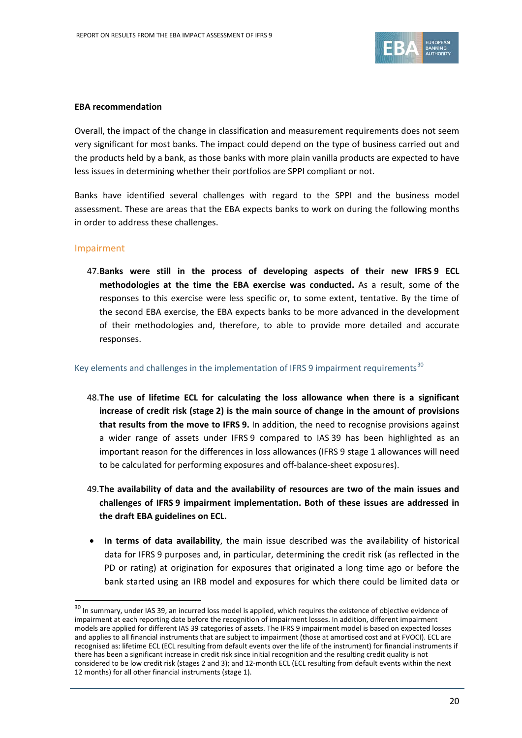

#### **EBA recommendation**

Overall, the impact of the change in classification and measurement requirements does not seem very significant for most banks. The impact could depend on the type of business carried out and the products held by a bank, as those banks with more plain vanilla products are expected to have less issues in determining whether their portfolios are SPPI compliant or not.

Banks have identified several challenges with regard to the SPPI and the business model assessment. These are areas that the EBA expects banks to work on during the following months in order to address these challenges.

#### Impairment

 $\overline{a}$ 

47.**Banks were still in the process of developing aspects of their new IFRS 9 ECL methodologies at the time the EBA exercise was conducted.** As a result, some of the responses to this exercise were less specific or, to some extent, tentative. By the time of the second EBA exercise, the EBA expects banks to be more advanced in the development of their methodologies and, therefore, to able to provide more detailed and accurate responses.

### Key elements and challenges in the implementation of IFRS 9 impairment requirements<sup>[30](#page-19-0)</sup>

- 48.**The use of lifetime ECL for calculating the loss allowance when there is a significant increase of credit risk (stage 2) is the main source of change in the amount of provisions that results from the move to IFRS 9.** In addition, the need to recognise provisions against a wider range of assets under IFRS 9 compared to IAS 39 has been highlighted as an important reason for the differences in loss allowances (IFRS 9 stage 1 allowances will need to be calculated for performing exposures and off-balance-sheet exposures).
- 49.**The availability of data and the availability of resources are two of the main issues and challenges of IFRS 9 impairment implementation. Both of these issues are addressed in the draft EBA guidelines on ECL.**
- **In terms of data availability**, the main issue described was the availability of historical data for IFRS 9 purposes and, in particular, determining the credit risk (as reflected in the PD or rating) at origination for exposures that originated a long time ago or before the bank started using an IRB model and exposures for which there could be limited data or

<span id="page-19-0"></span><sup>&</sup>lt;sup>30</sup> In summarv. under IAS 39, an incurred loss model is applied, which requires the existence of objective evidence of impairment at each reporting date before the recognition of impairment losses. In addition, different impairment models are applied for different IAS 39 categories of assets. The IFRS 9 impairment model is based on expected losses and applies to all financial instruments that are subject to impairment (those at amortised cost and at FVOCI). ECL are recognised as: lifetime ECL (ECL resulting from default events over the life of the instrument) for financial instruments if there has been a significant increase in credit risk since initial recognition and the resulting credit quality is not considered to be low credit risk (stages 2 and 3); and 12-month ECL (ECL resulting from default events within the next 12 months) for all other financial instruments (stage 1).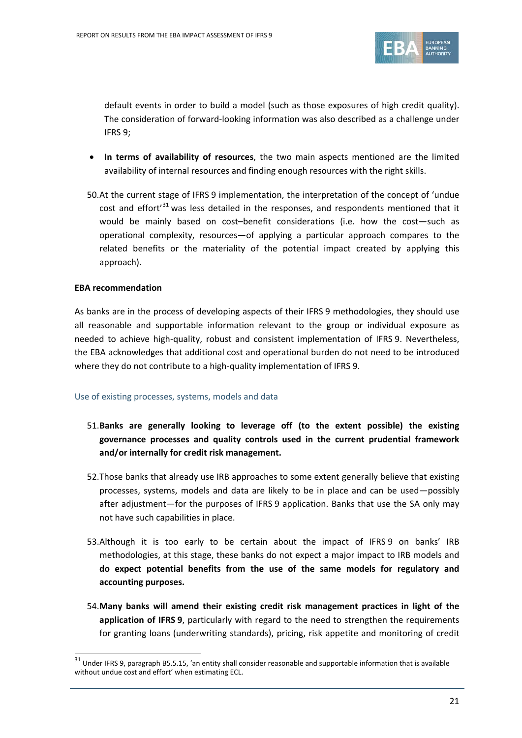

default events in order to build a model (such as those exposures of high credit quality). The consideration of forward-looking information was also described as a challenge under IFRS 9;

- **In terms of availability of resources**, the two main aspects mentioned are the limited availability of internal resources and finding enough resources with the right skills.
- 50.At the current stage of IFRS 9 implementation, the interpretation of the concept of 'undue cost and effort<sup>'[31](#page-20-0)</sup> was less detailed in the responses, and respondents mentioned that it would be mainly based on cost–benefit considerations (i.e. how the cost—such as operational complexity, resources—of applying a particular approach compares to the related benefits or the materiality of the potential impact created by applying this approach).

#### **EBA recommendation**

 $\overline{a}$ 

As banks are in the process of developing aspects of their IFRS 9 methodologies, they should use all reasonable and supportable information relevant to the group or individual exposure as needed to achieve high-quality, robust and consistent implementation of IFRS 9. Nevertheless, the EBA acknowledges that additional cost and operational burden do not need to be introduced where they do not contribute to a high-quality implementation of IFRS 9.

#### Use of existing processes, systems, models and data

- 51.**Banks are generally looking to leverage off (to the extent possible) the existing governance processes and quality controls used in the current prudential framework and/or internally for credit risk management.**
- 52.Those banks that already use IRB approaches to some extent generally believe that existing processes, systems, models and data are likely to be in place and can be used—possibly after adjustment—for the purposes of IFRS 9 application. Banks that use the SA only may not have such capabilities in place.
- 53.Although it is too early to be certain about the impact of IFRS 9 on banks' IRB methodologies, at this stage, these banks do not expect a major impact to IRB models and **do expect potential benefits from the use of the same models for regulatory and accounting purposes.**
- 54.**Many banks will amend their existing credit risk management practices in light of the application of IFRS 9**, particularly with regard to the need to strengthen the requirements for granting loans (underwriting standards), pricing, risk appetite and monitoring of credit

<span id="page-20-0"></span> $31$  Under IFRS 9, paragraph B5.5.15, 'an entity shall consider reasonable and supportable information that is available without undue cost and effort' when estimating ECL.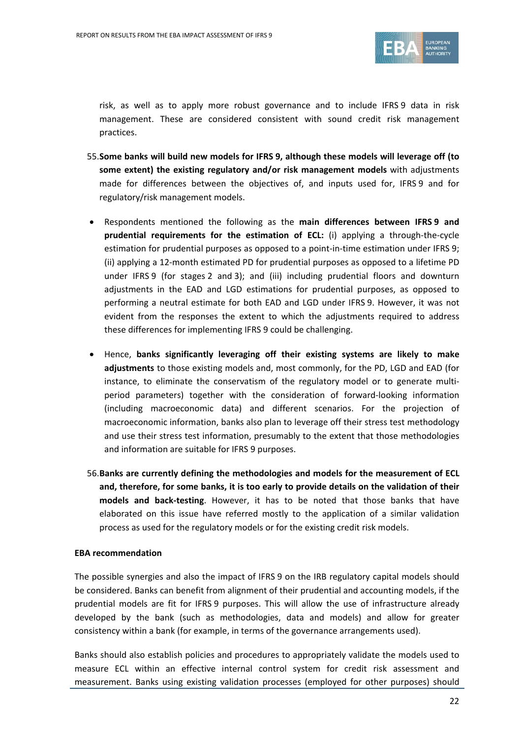

risk, as well as to apply more robust governance and to include IFRS 9 data in risk management. These are considered consistent with sound credit risk management practices.

- 55.**Some banks will build new models for IFRS 9, although these models will leverage off (to some extent) the existing regulatory and/or risk management models** with adjustments made for differences between the objectives of, and inputs used for, IFRS 9 and for regulatory/risk management models.
- Respondents mentioned the following as the **main differences between IFRS 9 and prudential requirements for the estimation of ECL:** (i) applying a through-the-cycle estimation for prudential purposes as opposed to a point-in-time estimation under IFRS 9; (ii) applying a 12-month estimated PD for prudential purposes as opposed to a lifetime PD under IFRS 9 (for stages 2 and 3); and (iii) including prudential floors and downturn adjustments in the EAD and LGD estimations for prudential purposes, as opposed to performing a neutral estimate for both EAD and LGD under IFRS 9. However, it was not evident from the responses the extent to which the adjustments required to address these differences for implementing IFRS 9 could be challenging.
- Hence, **banks significantly leveraging off their existing systems are likely to make adjustments** to those existing models and, most commonly, for the PD, LGD and EAD (for instance, to eliminate the conservatism of the regulatory model or to generate multiperiod parameters) together with the consideration of forward-looking information (including macroeconomic data) and different scenarios. For the projection of macroeconomic information, banks also plan to leverage off their stress test methodology and use their stress test information, presumably to the extent that those methodologies and information are suitable for IFRS 9 purposes.
- 56.**Banks are currently defining the methodologies and models for the measurement of ECL and, therefore, for some banks, it is too early to provide details on the validation of their models and back-testing**. However, it has to be noted that those banks that have elaborated on this issue have referred mostly to the application of a similar validation process as used for the regulatory models or for the existing credit risk models.

#### **EBA recommendation**

The possible synergies and also the impact of IFRS 9 on the IRB regulatory capital models should be considered. Banks can benefit from alignment of their prudential and accounting models, if the prudential models are fit for IFRS 9 purposes. This will allow the use of infrastructure already developed by the bank (such as methodologies, data and models) and allow for greater consistency within a bank (for example, in terms of the governance arrangements used).

Banks should also establish policies and procedures to appropriately validate the models used to measure ECL within an effective internal control system for credit risk assessment and measurement. Banks using existing validation processes (employed for other purposes) should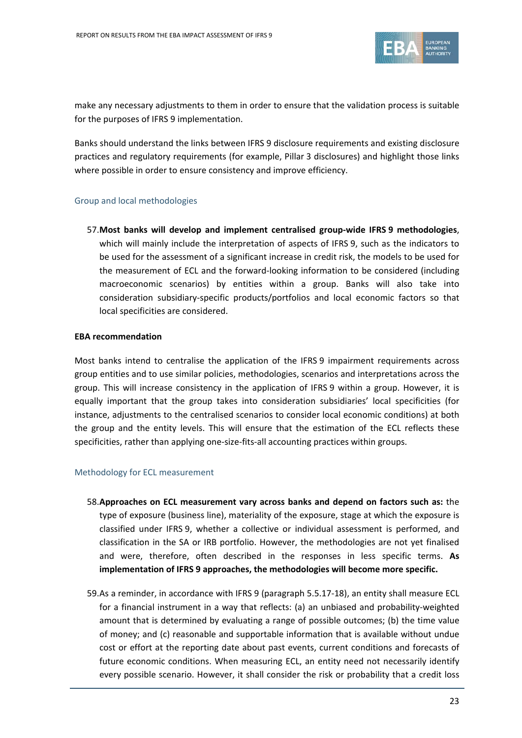

make any necessary adjustments to them in order to ensure that the validation process is suitable for the purposes of IFRS 9 implementation.

Banks should understand the links between IFRS 9 disclosure requirements and existing disclosure practices and regulatory requirements (for example, Pillar 3 disclosures) and highlight those links where possible in order to ensure consistency and improve efficiency.

#### Group and local methodologies

57.**Most banks will develop and implement centralised group-wide IFRS 9 methodologies**, which will mainly include the interpretation of aspects of IFRS 9, such as the indicators to be used for the assessment of a significant increase in credit risk, the models to be used for the measurement of ECL and the forward-looking information to be considered (including macroeconomic scenarios) by entities within a group. Banks will also take into consideration subsidiary-specific products/portfolios and local economic factors so that local specificities are considered.

#### **EBA recommendation**

Most banks intend to centralise the application of the IFRS 9 impairment requirements across group entities and to use similar policies, methodologies, scenarios and interpretations across the group. This will increase consistency in the application of IFRS 9 within a group. However, it is equally important that the group takes into consideration subsidiaries' local specificities (for instance, adjustments to the centralised scenarios to consider local economic conditions) at both the group and the entity levels. This will ensure that the estimation of the ECL reflects these specificities, rather than applying one-size-fits-all accounting practices within groups.

#### Methodology for ECL measurement

- 58.**Approaches on ECL measurement vary across banks and depend on factors such as:** the type of exposure (business line), materiality of the exposure, stage at which the exposure is classified under IFRS 9, whether a collective or individual assessment is performed, and classification in the SA or IRB portfolio. However, the methodologies are not yet finalised and were, therefore, often described in the responses in less specific terms. **As implementation of IFRS 9 approaches, the methodologies will become more specific.**
- 59.As a reminder, in accordance with IFRS 9 (paragraph 5.5.17-18), an entity shall measure ECL for a financial instrument in a way that reflects: (a) an unbiased and probability-weighted amount that is determined by evaluating a range of possible outcomes; (b) the time value of money; and (c) reasonable and supportable information that is available without undue cost or effort at the reporting date about past events, current conditions and forecasts of future economic conditions. When measuring ECL, an entity need not necessarily identify every possible scenario. However, it shall consider the risk or probability that a credit loss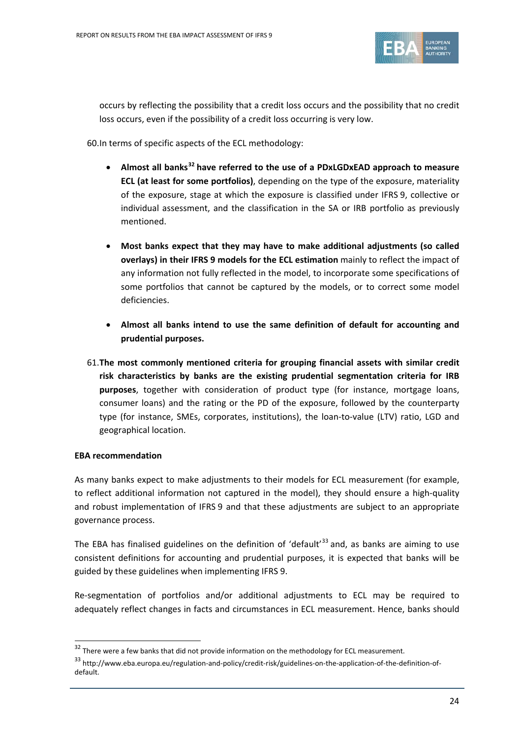

occurs by reflecting the possibility that a credit loss occurs and the possibility that no credit loss occurs, even if the possibility of a credit loss occurring is very low.

60.In terms of specific aspects of the ECL methodology:

- **Almost all banks[32](#page-23-0) have referred to the use of a PDxLGDxEAD approach to measure ECL (at least for some portfolios)**, depending on the type of the exposure, materiality of the exposure, stage at which the exposure is classified under IFRS 9, collective or individual assessment, and the classification in the SA or IRB portfolio as previously mentioned.
- **Most banks expect that they may have to make additional adjustments (so called overlays) in their IFRS 9 models for the ECL estimation** mainly to reflect the impact of any information not fully reflected in the model, to incorporate some specifications of some portfolios that cannot be captured by the models, or to correct some model deficiencies.
- **Almost all banks intend to use the same definition of default for accounting and prudential purposes.**
- 61.**The most commonly mentioned criteria for grouping financial assets with similar credit risk characteristics by banks are the existing prudential segmentation criteria for IRB purposes**, together with consideration of product type (for instance, mortgage loans, consumer loans) and the rating or the PD of the exposure, followed by the counterparty type (for instance, SMEs, corporates, institutions), the loan-to-value (LTV) ratio, LGD and geographical location.

## **EBA recommendation**

 $\overline{a}$ 

As many banks expect to make adjustments to their models for ECL measurement (for example, to reflect additional information not captured in the model), they should ensure a high-quality and robust implementation of IFRS 9 and that these adjustments are subject to an appropriate governance process.

The EBA has finalised guidelines on the definition of 'default'<sup>[33](#page-23-1)</sup> and, as banks are aiming to use consistent definitions for accounting and prudential purposes, it is expected that banks will be guided by these guidelines when implementing IFRS 9.

Re-segmentation of portfolios and/or additional adjustments to ECL may be required to adequately reflect changes in facts and circumstances in ECL measurement. Hence, banks should

<span id="page-23-0"></span> $32$  There were a few banks that did not provide information on the methodology for ECL measurement.

<span id="page-23-1"></span><sup>33</sup> http://www.eba.europa.eu/regulation-and-policy/credit-risk/guidelines-on-the-application-of-the-definition-ofdefault.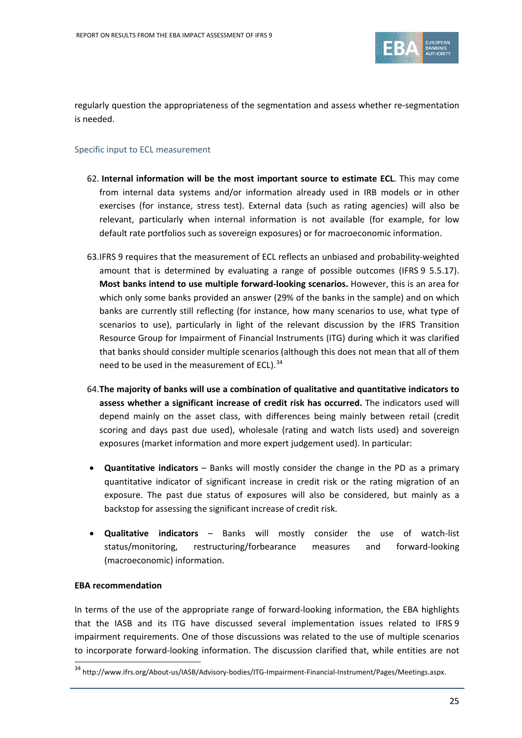

regularly question the appropriateness of the segmentation and assess whether re-segmentation is needed.

## Specific input to ECL measurement

- 62. **Internal information will be the most important source to estimate ECL**. This may come from internal data systems and/or information already used in IRB models or in other exercises (for instance, stress test). External data (such as rating agencies) will also be relevant, particularly when internal information is not available (for example, for low default rate portfolios such as sovereign exposures) or for macroeconomic information.
- 63.IFRS 9 requires that the measurement of ECL reflects an unbiased and probability-weighted amount that is determined by evaluating a range of possible outcomes (IFRS 9 5.5.17). **Most banks intend to use multiple forward-looking scenarios.** However, this is an area for which only some banks provided an answer (29% of the banks in the sample) and on which banks are currently still reflecting (for instance, how many scenarios to use, what type of scenarios to use), particularly in light of the relevant discussion by the IFRS Transition Resource Group for Impairment of Financial Instruments (ITG) during which it was clarified that banks should consider multiple scenarios (although this does not mean that all of them need to be used in the measurement of ECL).<sup>[34](#page-24-0)</sup>
- 64.**The majority of banks will use a combination of qualitative and quantitative indicators to assess whether a significant increase of credit risk has occurred.** The indicators used will depend mainly on the asset class, with differences being mainly between retail (credit scoring and days past due used), wholesale (rating and watch lists used) and sovereign exposures (market information and more expert judgement used). In particular:
- **Quantitative indicators** Banks will mostly consider the change in the PD as a primary quantitative indicator of significant increase in credit risk or the rating migration of an exposure. The past due status of exposures will also be considered, but mainly as a backstop for assessing the significant increase of credit risk.
- **Qualitative indicators** Banks will mostly consider the use of watch-list status/monitoring, restructuring/forbearance measures and forward-looking (macroeconomic) information.

## **EBA recommendation**

In terms of the use of the appropriate range of forward-looking information, the EBA highlights that the IASB and its ITG have discussed several implementation issues related to IFRS 9 impairment requirements. One of those discussions was related to the use of multiple scenarios to incorporate forward-looking information. The discussion clarified that, while entities are not

<span id="page-24-0"></span><sup>34</sup> http://www.ifrs.org/About-us/IASB/Advisory-bodies/ITG-Impairment-Financial-Instrument/Pages/Meetings.aspx.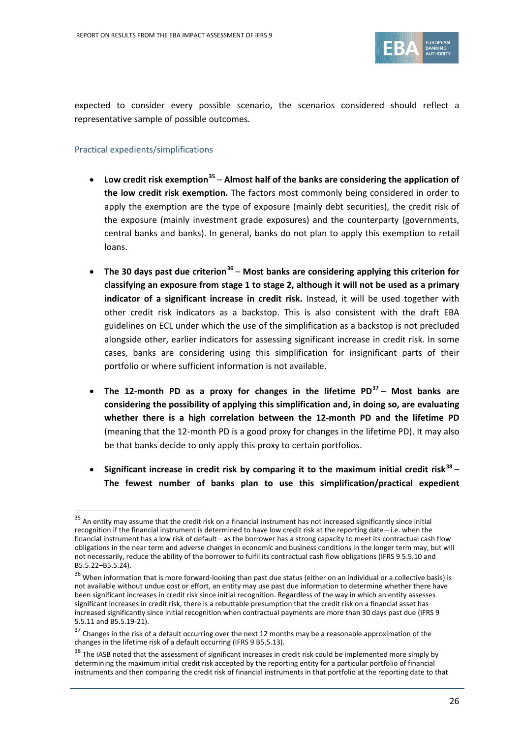

expected to consider every possible scenario, the scenarios considered should reflect a representative sample of possible outcomes.

## Practical expedients/simplifications

- **Low credit risk exemption[35](#page-25-0) Almost half of the banks are considering the application of the low credit risk exemption.** The factors most commonly being considered in order to apply the exemption are the type of exposure (mainly debt securities), the credit risk of the exposure (mainly investment grade exposures) and the counterparty (governments, central banks and banks). In general, banks do not plan to apply this exemption to retail loans.
- **The 30 days past due criterion[36](#page-25-1) Most banks are considering applying this criterion for classifying an exposure from stage 1 to stage 2, although it will not be used as a primary indicator of a significant increase in credit risk.** Instead, it will be used together with other credit risk indicators as a backstop. This is also consistent with the draft EBA guidelines on ECL under which the use of the simplification as a backstop is not precluded alongside other, earlier indicators for assessing significant increase in credit risk. In some cases, banks are considering using this simplification for insignificant parts of their portfolio or where sufficient information is not available.
- **The 12-month PD as a proxy for changes in the lifetime PD[37](#page-25-2) Most banks are considering the possibility of applying this simplification and, in doing so, are evaluating whether there is a high correlation between the 12-month PD and the lifetime PD**  (meaning that the 12-month PD is a good proxy for changes in the lifetime PD). It may also be that banks decide to only apply this proxy to certain portfolios.
- **Significant increase in credit risk by comparing it to the maximum initial credit risk[38](#page-25-3) The fewest number of banks plan to use this simplification/practical expedient**

<span id="page-25-0"></span> $35$  An entity may assume that the credit risk on a financial instrument has not increased significantly since initial recognition if the financial instrument is determined to have low credit risk at the reporting date—i.e. when the financial instrument has a low risk of default—as the borrower has a strong capacity to meet its contractual cash flow obligations in the near term and adverse changes in economic and business conditions in the longer term may, but will not necessarily, reduce the ability of the borrower to fulfil its contractual cash flow obligations (IFRS 9 5.5.10 and B5.5.22‒B5.5.24).

<span id="page-25-1"></span> $36$  When information that is more forward-looking than past due status (either on an individual or a collective basis) is not available without undue cost or effort, an entity may use past due information to determine whether there have been significant increases in credit risk since initial recognition. Regardless of the way in which an entity assesses significant increases in credit risk, there is a rebuttable presumption that the credit risk on a financial asset has increased significantly since initial recognition when contractual payments are more than 30 days past due (IFRS 9 5.5.11 and B5.5.19-21).

<span id="page-25-2"></span> $37$  Changes in the risk of a default occurring over the next 12 months may be a reasonable approximation of the changes in the lifetime risk of a default occurring (IFRS 9 B5.5.13).

<span id="page-25-3"></span> $38$  The IASB noted that the assessment of significant increases in credit risk could be implemented more simply by determining the maximum initial credit risk accepted by the reporting entity for a particular portfolio of financial instruments and then comparing the credit risk of financial instruments in that portfolio at the reporting date to that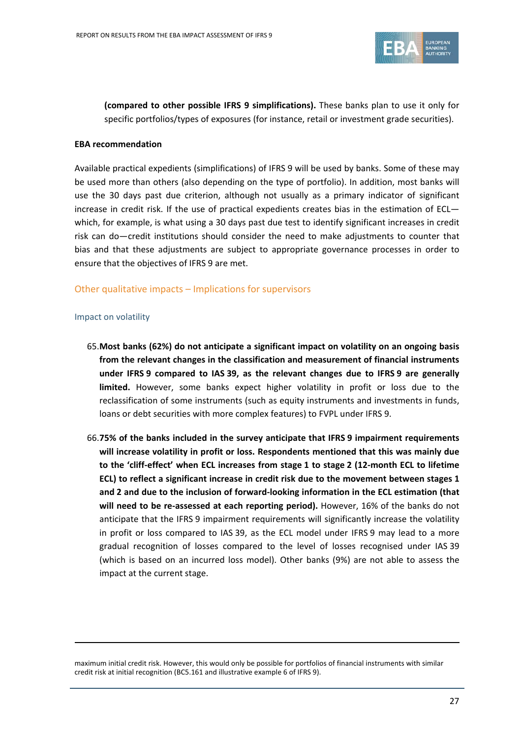

**(compared to other possible IFRS 9 simplifications).** These banks plan to use it only for specific portfolios/types of exposures (for instance, retail or investment grade securities).

#### **EBA recommendation**

Available practical expedients (simplifications) of IFRS 9 will be used by banks. Some of these may be used more than others (also depending on the type of portfolio). In addition, most banks will use the 30 days past due criterion, although not usually as a primary indicator of significant increase in credit risk. If the use of practical expedients creates bias in the estimation of ECL which, for example, is what using a 30 days past due test to identify significant increases in credit risk can do—credit institutions should consider the need to make adjustments to counter that bias and that these adjustments are subject to appropriate governance processes in order to ensure that the objectives of IFRS 9 are met.

## Other qualitative impacts – Implications for supervisors

#### Impact on volatility

l

- 65.**Most banks (62%) do not anticipate a significant impact on volatility on an ongoing basis from the relevant changes in the classification and measurement of financial instruments under IFRS 9 compared to IAS 39, as the relevant changes due to IFRS 9 are generally limited.** However, some banks expect higher volatility in profit or loss due to the reclassification of some instruments (such as equity instruments and investments in funds, loans or debt securities with more complex features) to FVPL under IFRS 9.
- 66.**75% of the banks included in the survey anticipate that IFRS 9 impairment requirements will increase volatility in profit or loss. Respondents mentioned that this was mainly due to the 'cliff-effect' when ECL increases from stage 1 to stage 2 (12-month ECL to lifetime ECL) to reflect a significant increase in credit risk due to the movement between stages 1 and 2 and due to the inclusion of forward-looking information in the ECL estimation (that will need to be re-assessed at each reporting period).** However, 16% of the banks do not anticipate that the IFRS 9 impairment requirements will significantly increase the volatility in profit or loss compared to IAS 39, as the ECL model under IFRS 9 may lead to a more gradual recognition of losses compared to the level of losses recognised under IAS 39 (which is based on an incurred loss model). Other banks (9%) are not able to assess the impact at the current stage.

maximum initial credit risk. However, this would only be possible for portfolios of financial instruments with similar credit risk at initial recognition (BC5.161 and illustrative example 6 of IFRS 9).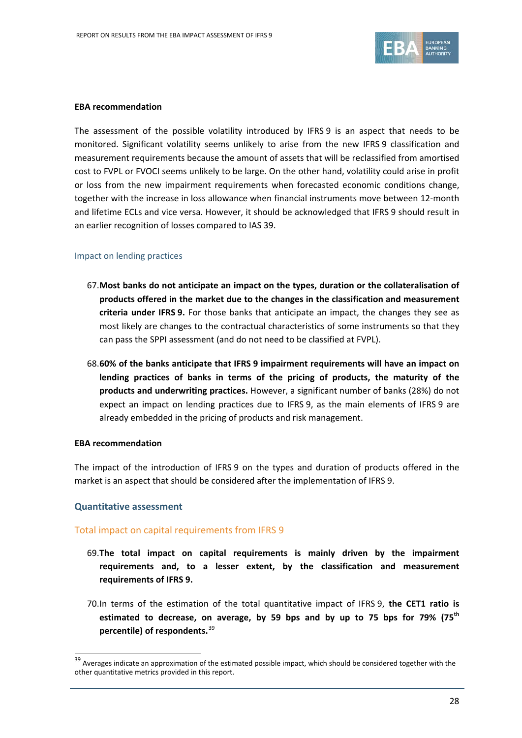

#### **EBA recommendation**

The assessment of the possible volatility introduced by IFRS 9 is an aspect that needs to be monitored. Significant volatility seems unlikely to arise from the new IFRS 9 classification and measurement requirements because the amount of assets that will be reclassified from amortised cost to FVPL or FVOCI seems unlikely to be large. On the other hand, volatility could arise in profit or loss from the new impairment requirements when forecasted economic conditions change, together with the increase in loss allowance when financial instruments move between 12-month and lifetime ECLs and vice versa. However, it should be acknowledged that IFRS 9 should result in an earlier recognition of losses compared to IAS 39.

## Impact on lending practices

- 67.**Most banks do not anticipate an impact on the types, duration or the collateralisation of products offered in the market due to the changes in the classification and measurement criteria under IFRS 9.** For those banks that anticipate an impact, the changes they see as most likely are changes to the contractual characteristics of some instruments so that they can pass the SPPI assessment (and do not need to be classified at FVPL).
- 68.**60% of the banks anticipate that IFRS 9 impairment requirements will have an impact on lending practices of banks in terms of the pricing of products, the maturity of the products and underwriting practices.** However, a significant number of banks (28%) do not expect an impact on lending practices due to IFRS 9, as the main elements of IFRS 9 are already embedded in the pricing of products and risk management.

#### **EBA recommendation**

The impact of the introduction of IFRS 9 on the types and duration of products offered in the market is an aspect that should be considered after the implementation of IFRS 9.

## **Quantitative assessment**

 $\overline{a}$ 

## Total impact on capital requirements from IFRS 9

- 69.**The total impact on capital requirements is mainly driven by the impairment requirements and, to a lesser extent, by the classification and measurement requirements of IFRS 9.**
- 70.In terms of the estimation of the total quantitative impact of IFRS 9, **the CET1 ratio is estimated to decrease, on average, by 59 bps and by up to 75 bps for 79% (75th percentile) of respondents.** [39](#page-27-0)

<span id="page-27-0"></span><sup>&</sup>lt;sup>39</sup> Averages indicate an approximation of the estimated possible impact, which should be considered together with the other quantitative metrics provided in this report.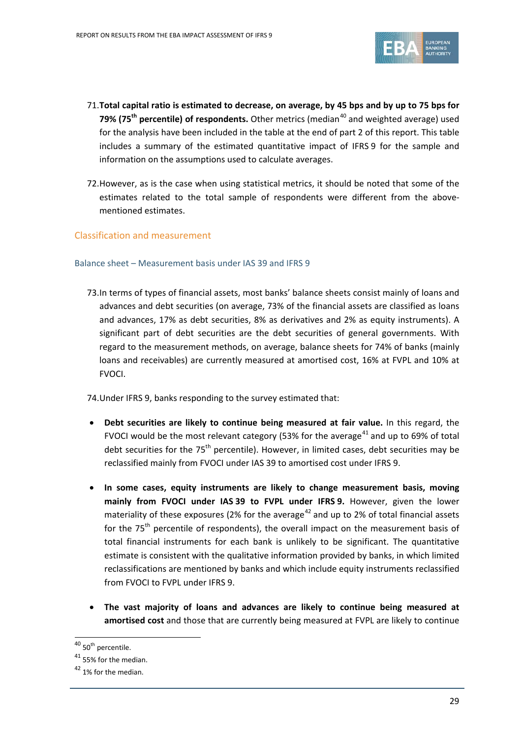

- 71.**Total capital ratio is estimated to decrease, on average, by 45 bps and by up to 75 bps for 79% (75<sup>th</sup> percentile) of respondents.** Other metrics (median<sup>[40](#page-28-0)</sup> and weighted average) used for the analysis have been included in the table at the end of part 2 of this report. This table includes a summary of the estimated quantitative impact of IFRS 9 for the sample and information on the assumptions used to calculate averages.
- 72.However, as is the case when using statistical metrics, it should be noted that some of the estimates related to the total sample of respondents were different from the abovementioned estimates.

## Classification and measurement

#### Balance sheet – Measurement basis under IAS 39 and IFRS 9

73.In terms of types of financial assets, most banks' balance sheets consist mainly of loans and advances and debt securities (on average, 73% of the financial assets are classified as loans and advances, 17% as debt securities, 8% as derivatives and 2% as equity instruments). A significant part of debt securities are the debt securities of general governments. With regard to the measurement methods, on average, balance sheets for 74% of banks (mainly loans and receivables) are currently measured at amortised cost, 16% at FVPL and 10% at FVOCI.

74.Under IFRS 9, banks responding to the survey estimated that:

- **Debt securities are likely to continue being measured at fair value.** In this regard, the FVOCI would be the most relevant category (53% for the average<sup>[41](#page-28-1)</sup> and up to 69% of total debt securities for the  $75<sup>th</sup>$  percentile). However, in limited cases, debt securities may be reclassified mainly from FVOCI under IAS 39 to amortised cost under IFRS 9.
- **In some cases, equity instruments are likely to change measurement basis, moving mainly from FVOCI under IAS 39 to FVPL under IFRS 9.** However, given the lower materiality of these exposures (2% for the average<sup>[42](#page-28-2)</sup> and up to 2% of total financial assets for the  $75<sup>th</sup>$  percentile of respondents), the overall impact on the measurement basis of total financial instruments for each bank is unlikely to be significant. The quantitative estimate is consistent with the qualitative information provided by banks, in which limited reclassifications are mentioned by banks and which include equity instruments reclassified from FVOCI to FVPL under IFRS 9.
- **The vast majority of loans and advances are likely to continue being measured at amortised cost** and those that are currently being measured at FVPL are likely to continue

<span id="page-28-0"></span> $40$  50<sup>th</sup> percentile.

<span id="page-28-1"></span><sup>&</sup>lt;sup>41</sup> 55% for the median.

<span id="page-28-2"></span> $42$  1% for the median.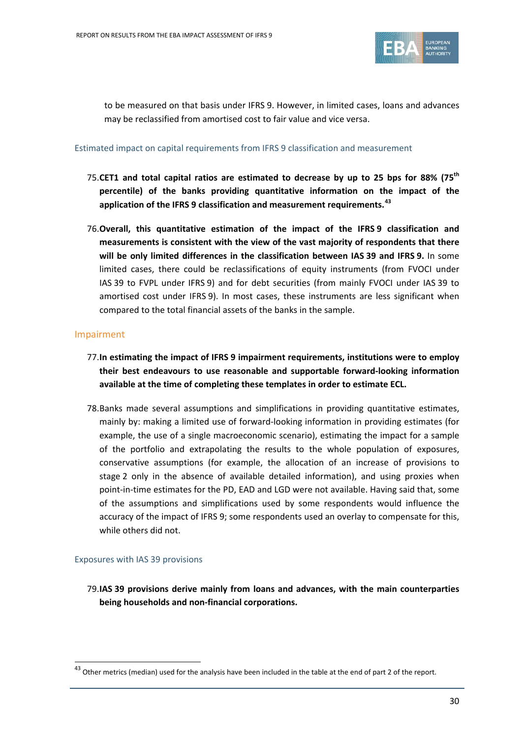

to be measured on that basis under IFRS 9. However, in limited cases, loans and advances may be reclassified from amortised cost to fair value and vice versa.

#### Estimated impact on capital requirements from IFRS 9 classification and measurement

- 75.**CET1 and total capital ratios are estimated to decrease by up to 25 bps for 88% (75th percentile) of the banks providing quantitative information on the impact of the application of the IFRS 9 classification and measurement requirements. [43](#page-29-0)**
- 76.**Overall, this quantitative estimation of the impact of the IFRS 9 classification and measurements is consistent with the view of the vast majority of respondents that there will be only limited differences in the classification between IAS 39 and IFRS 9.** In some limited cases, there could be reclassifications of equity instruments (from FVOCI under IAS 39 to FVPL under IFRS 9) and for debt securities (from mainly FVOCI under IAS 39 to amortised cost under IFRS 9). In most cases, these instruments are less significant when compared to the total financial assets of the banks in the sample.

## Impairment

- 77.**In estimating the impact of IFRS 9 impairment requirements, institutions were to employ their best endeavours to use reasonable and supportable forward-looking information available at the time of completing these templates in order to estimate ECL.**
- 78.Banks made several assumptions and simplifications in providing quantitative estimates, mainly by: making a limited use of forward-looking information in providing estimates (for example, the use of a single macroeconomic scenario), estimating the impact for a sample of the portfolio and extrapolating the results to the whole population of exposures, conservative assumptions (for example, the allocation of an increase of provisions to stage 2 only in the absence of available detailed information), and using proxies when point-in-time estimates for the PD, EAD and LGD were not available. Having said that, some of the assumptions and simplifications used by some respondents would influence the accuracy of the impact of IFRS 9; some respondents used an overlay to compensate for this, while others did not.

## Exposures with IAS 39 provisions

 $\overline{a}$ 

79.**IAS 39 provisions derive mainly from loans and advances, with the main counterparties being households and non-financial corporations.**

<span id="page-29-0"></span> $43$  Other metrics (median) used for the analysis have been included in the table at the end of part 2 of the report.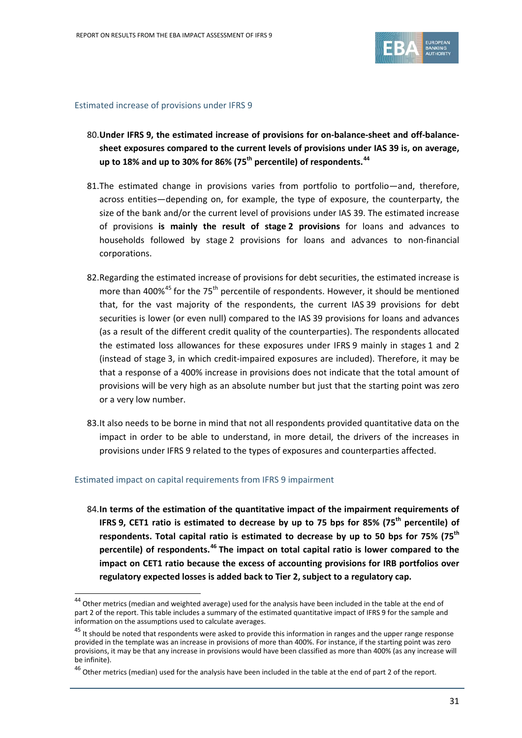

#### Estimated increase of provisions under IFRS 9

- 80.**Under IFRS 9, the estimated increase of provisions for on-balance-sheet and off-balancesheet exposures compared to the current levels of provisions under IAS 39 is, on average, up to 18% and up to 30% for 86% (75th percentile) of respondents. [44](#page-30-0)**
- 81.The estimated change in provisions varies from portfolio to portfolio—and, therefore, across entities—depending on, for example, the type of exposure, the counterparty, the size of the bank and/or the current level of provisions under IAS 39. The estimated increase of provisions **is mainly the result of stage 2 provisions** for loans and advances to households followed by stage 2 provisions for loans and advances to non-financial corporations.
- 82.Regarding the estimated increase of provisions for debt securities, the estimated increase is more than 400% $45$  for the 75<sup>th</sup> percentile of respondents. However, it should be mentioned that, for the vast majority of the respondents, the current IAS 39 provisions for debt securities is lower (or even null) compared to the IAS 39 provisions for loans and advances (as a result of the different credit quality of the counterparties). The respondents allocated the estimated loss allowances for these exposures under IFRS 9 mainly in stages 1 and 2 (instead of stage 3, in which credit-impaired exposures are included). Therefore, it may be that a response of a 400% increase in provisions does not indicate that the total amount of provisions will be very high as an absolute number but just that the starting point was zero or a very low number.
- 83.It also needs to be borne in mind that not all respondents provided quantitative data on the impact in order to be able to understand, in more detail, the drivers of the increases in provisions under IFRS 9 related to the types of exposures and counterparties affected.

#### Estimated impact on capital requirements from IFRS 9 impairment

 $\overline{a}$ 

84.**In terms of the estimation of the quantitative impact of the impairment requirements of IFRS 9, CET1 ratio is estimated to decrease by up to 75 bps for 85% (75th percentile) of respondents. Total capital ratio is estimated to decrease by up to 50 bps for 75% (75th percentile) of respondents. [46](#page-30-2) The impact on total capital ratio is lower compared to the impact on CET1 ratio because the excess of accounting provisions for IRB portfolios over regulatory expected losses is added back to Tier 2, subject to a regulatory cap.**

<span id="page-30-0"></span><sup>&</sup>lt;sup>44</sup> Other metrics (median and weighted average) used for the analysis have been included in the table at the end of part 2 of the report. This table includes a summary of the estimated quantitative impact of IFRS 9 for the sample and information on the assumptions used to calculate averages.

<span id="page-30-1"></span><sup>&</sup>lt;sup>45</sup> It should be noted that respondents were asked to provide this information in ranges and the upper range response provided in the template was an increase in provisions of more than 400%. For instance, if the starting point was zero provisions, it may be that any increase in provisions would have been classified as more than 400% (as any increase will be infinite).

<span id="page-30-2"></span> $^{46}$  Other metrics (median) used for the analysis have been included in the table at the end of part 2 of the report.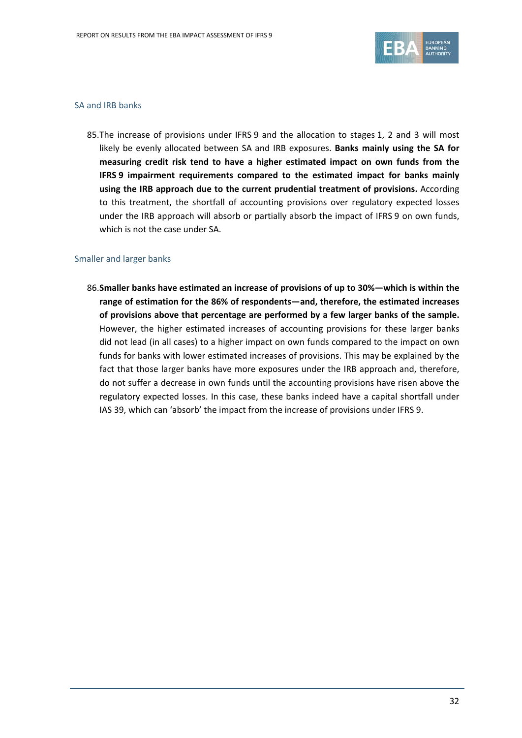

### SA and IRB banks

85.The increase of provisions under IFRS 9 and the allocation to stages 1, 2 and 3 will most likely be evenly allocated between SA and IRB exposures. **Banks mainly using the SA for measuring credit risk tend to have a higher estimated impact on own funds from the IFRS 9 impairment requirements compared to the estimated impact for banks mainly using the IRB approach due to the current prudential treatment of provisions.** According to this treatment, the shortfall of accounting provisions over regulatory expected losses under the IRB approach will absorb or partially absorb the impact of IFRS 9 on own funds, which is not the case under SA.

#### Smaller and larger banks

86.**Smaller banks have estimated an increase of provisions of up to 30%—which is within the range of estimation for the 86% of respondents—and, therefore, the estimated increases of provisions above that percentage are performed by a few larger banks of the sample.** However, the higher estimated increases of accounting provisions for these larger banks did not lead (in all cases) to a higher impact on own funds compared to the impact on own funds for banks with lower estimated increases of provisions. This may be explained by the fact that those larger banks have more exposures under the IRB approach and, therefore, do not suffer a decrease in own funds until the accounting provisions have risen above the regulatory expected losses. In this case, these banks indeed have a capital shortfall under IAS 39, which can 'absorb' the impact from the increase of provisions under IFRS 9.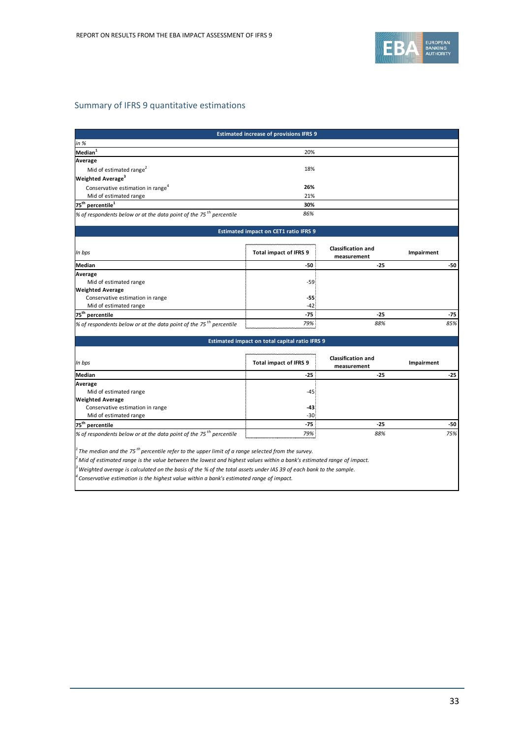

# Summary of IFRS 9 quantitative estimations

| <b>Estimated increase of provisions IFRS 9</b>                                                                       |                                              |                                          |            |       |  |  |
|----------------------------------------------------------------------------------------------------------------------|----------------------------------------------|------------------------------------------|------------|-------|--|--|
| in %                                                                                                                 |                                              |                                          |            |       |  |  |
| Median <sup>1</sup>                                                                                                  | 20%                                          |                                          |            |       |  |  |
| Average                                                                                                              |                                              |                                          |            |       |  |  |
| Mid of estimated range <sup>2</sup>                                                                                  | 18%                                          |                                          |            |       |  |  |
| Weighted Average <sup>3</sup>                                                                                        |                                              |                                          |            |       |  |  |
| Conservative estimation in range <sup>4</sup>                                                                        | 26%                                          |                                          |            |       |  |  |
| Mid of estimated range                                                                                               | 21%                                          |                                          |            |       |  |  |
| $75^{\text{th}}$ percentile <sup>1</sup>                                                                             | 30%                                          |                                          |            |       |  |  |
| % of respondents below or at the data point of the 75 <sup>th</sup> percentile                                       | 86%                                          |                                          |            |       |  |  |
|                                                                                                                      | <b>Estimated impact on CET1 ratio IFRS 9</b> |                                          |            |       |  |  |
|                                                                                                                      |                                              |                                          |            |       |  |  |
| In bps                                                                                                               | <b>Total impact of IFRS 9</b>                | <b>Classification and</b><br>measurement | Impairment |       |  |  |
| <b>Median</b>                                                                                                        | -50                                          | $-25$                                    |            | $-50$ |  |  |
| Average                                                                                                              |                                              |                                          |            |       |  |  |
| Mid of estimated range                                                                                               | $-59$                                        |                                          |            |       |  |  |
| <b>Weighted Average</b>                                                                                              |                                              |                                          |            |       |  |  |
| Conservative estimation in range                                                                                     | $-55$<br>$-42$                               |                                          |            |       |  |  |
| Mid of estimated range                                                                                               | $-75$                                        | $-25$                                    |            | $-75$ |  |  |
| 75 <sup>th</sup> percentile<br>% of respondents below or at the data point of the 75 <sup>th</sup> percentile        | 79%                                          | 88%                                      |            | 85%   |  |  |
|                                                                                                                      |                                              |                                          |            |       |  |  |
| Estimated impact on total capital ratio IFRS 9                                                                       |                                              |                                          |            |       |  |  |
| In bps                                                                                                               | <b>Total impact of IFRS 9</b>                | <b>Classification and</b>                | Impairment |       |  |  |
|                                                                                                                      |                                              | measurement                              |            |       |  |  |
| Median                                                                                                               | $-25$                                        | $-25$                                    |            | $-25$ |  |  |
| Average                                                                                                              |                                              |                                          |            |       |  |  |
| Mid of estimated range<br><b>Weighted Average</b>                                                                    | $-45$                                        |                                          |            |       |  |  |
| Conservative estimation in range                                                                                     | -43                                          |                                          |            |       |  |  |
| Mid of estimated range                                                                                               | $-30$                                        |                                          |            |       |  |  |
| 75 <sup>th</sup> percentile                                                                                          | $-75$                                        | $-25$                                    |            | -50   |  |  |
| % of respondents below or at the data point of the 75 <sup>th</sup> percentile                                       | 79%                                          | 88%                                      |            | 75%   |  |  |
|                                                                                                                      |                                              |                                          |            |       |  |  |
| The median and the 75 <sup>th</sup> percentile refer to the upper limit of a range selected from the survey.         |                                              |                                          |            |       |  |  |
| Mid of estimated range is the value between the lowest and highest values within a bank's estimated range of impact. |                                              |                                          |            |       |  |  |
| Weighted average is calculated on the basis of the % of the total assets under IAS 39 of each bank to the sample.    |                                              |                                          |            |       |  |  |
| Conservative estimation is the highest value within a bank's estimated range of impact.                              |                                              |                                          |            |       |  |  |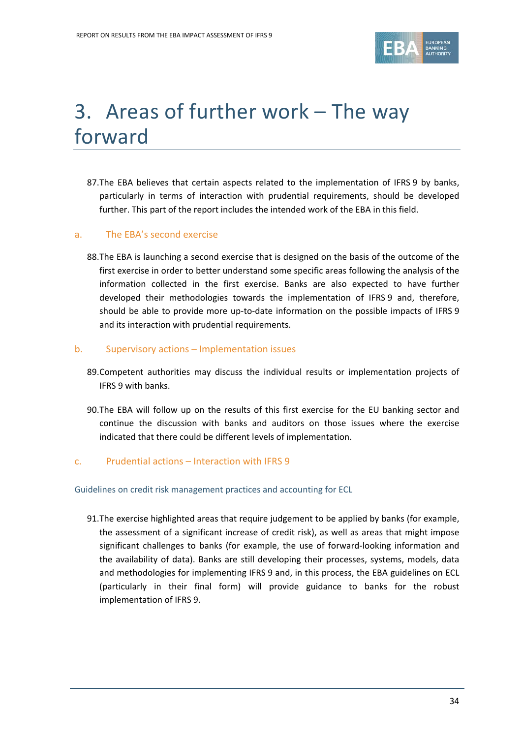

# <span id="page-33-0"></span>3. Areas of further work – The way forward

87.The EBA believes that certain aspects related to the implementation of IFRS 9 by banks, particularly in terms of interaction with prudential requirements, should be developed further. This part of the report includes the intended work of the EBA in this field.

## a. The EBA's second exercise

88.The EBA is launching a second exercise that is designed on the basis of the outcome of the first exercise in order to better understand some specific areas following the analysis of the information collected in the first exercise. Banks are also expected to have further developed their methodologies towards the implementation of IFRS 9 and, therefore, should be able to provide more up-to-date information on the possible impacts of IFRS 9 and its interaction with prudential requirements.

## b. Supervisory actions – Implementation issues

- 89.Competent authorities may discuss the individual results or implementation projects of IFRS 9 with banks.
- 90.The EBA will follow up on the results of this first exercise for the EU banking sector and continue the discussion with banks and auditors on those issues where the exercise indicated that there could be different levels of implementation.

## c. Prudential actions – Interaction with IFRS 9

## Guidelines on credit risk management practices and accounting for ECL

91.The exercise highlighted areas that require judgement to be applied by banks (for example, the assessment of a significant increase of credit risk), as well as areas that might impose significant challenges to banks (for example, the use of forward-looking information and the availability of data). Banks are still developing their processes, systems, models, data and methodologies for implementing IFRS 9 and, in this process, the EBA guidelines on ECL (particularly in their final form) will provide guidance to banks for the robust implementation of IFRS 9.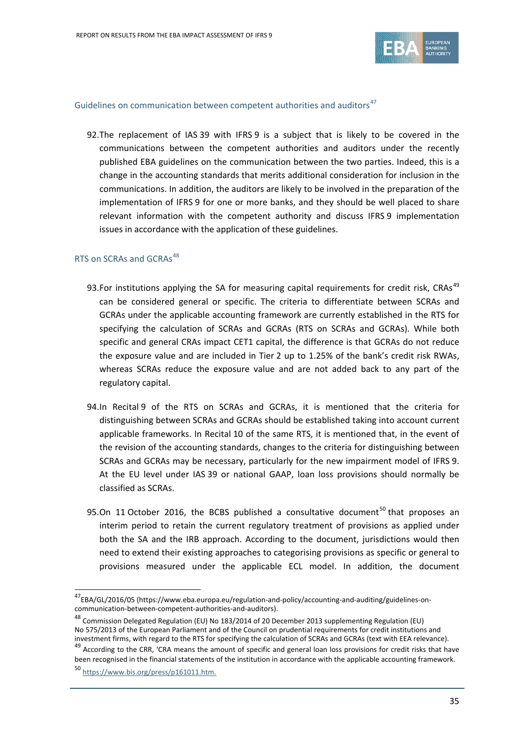

#### Guidelines on communication between competent authorities and auditors<sup>[47](#page-34-0)</sup>

92.The replacement of IAS 39 with IFRS 9 is a subject that is likely to be covered in the communications between the competent authorities and auditors under the recently published EBA guidelines on the communication between the two parties. Indeed, this is a change in the accounting standards that merits additional consideration for inclusion in the communications. In addition, the auditors are likely to be involved in the preparation of the implementation of IFRS 9 for one or more banks, and they should be well placed to share relevant information with the competent authority and discuss IFRS 9 implementation issues in accordance with the application of these guidelines.

## RTS on SCRAs and GCRAs<sup>[48](#page-34-1)</sup>

- 93.For institutions applying the SA for measuring capital requirements for credit risk, CRAs<sup>[49](#page-34-2)</sup> can be considered general or specific. The criteria to differentiate between SCRAs and GCRAs under the applicable accounting framework are currently established in the RTS for specifying the calculation of SCRAs and GCRAs (RTS on SCRAs and GCRAs). While both specific and general CRAs impact CET1 capital, the difference is that GCRAs do not reduce the exposure value and are included in Tier 2 up to 1.25% of the bank's credit risk RWAs, whereas SCRAs reduce the exposure value and are not added back to any part of the regulatory capital.
- 94.In Recital 9 of the RTS on SCRAs and GCRAs, it is mentioned that the criteria for distinguishing between SCRAs and GCRAs should be established taking into account current applicable frameworks. In Recital 10 of the same RTS, it is mentioned that, in the event of the revision of the accounting standards, changes to the criteria for distinguishing between SCRAs and GCRAs may be necessary, particularly for the new impairment model of IFRS 9. At the EU level under IAS 39 or national GAAP, loan loss provisions should normally be classified as SCRAs.
- 95.On 11 October 2016, the BCBS published a consultative document<sup>[50](#page-34-3)</sup> that proposes an interim period to retain the current regulatory treatment of provisions as applied under both the SA and the IRB approach. According to the document, jurisdictions would then need to extend their existing approaches to categorising provisions as specific or general to provisions measured under the applicable ECL model. In addition, the document

<span id="page-34-0"></span><sup>47</sup>EBA/GL/2016/05 (https://www.eba.europa.eu/regulation-and-policy/accounting-and-auditing/guidelines-oncommunication-between-competent-authorities-and-auditors).

<span id="page-34-1"></span><sup>48</sup> Commission Delegated Regulation (EU) No 183/2014 of 20 December 2013 supplementing Regulation (EU) No 575/2013 of the European Parliament and of the Council on prudential requirements for credit institutions and investment firms, with regard to the RTS for specifying the calculation of SCRAs and GCRAs (text with EEA relevance). <sup>49</sup> According to the CRR, 'CRA means the amount of specific and general loan loss provisions for credit risks that have

<span id="page-34-2"></span>been recognised in the financial statements of the institution in accordance with the applicable accounting framework.

<span id="page-34-3"></span><sup>50</sup> [https://www.bis.org/press/p161011.htm.](https://www.bis.org/press/p161011.htm)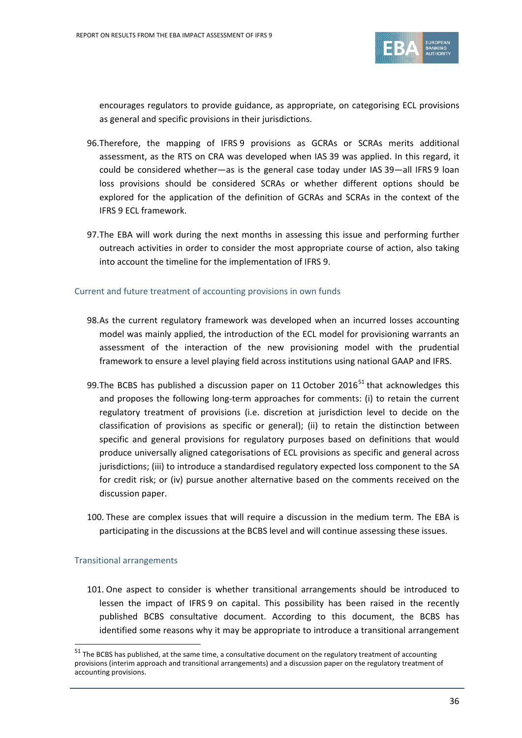

encourages regulators to provide guidance, as appropriate, on categorising ECL provisions as general and specific provisions in their jurisdictions.

- 96.Therefore, the mapping of IFRS 9 provisions as GCRAs or SCRAs merits additional assessment, as the RTS on CRA was developed when IAS 39 was applied. In this regard, it could be considered whether—as is the general case today under IAS 39—all IFRS 9 loan loss provisions should be considered SCRAs or whether different options should be explored for the application of the definition of GCRAs and SCRAs in the context of the IFRS 9 ECL framework.
- 97.The EBA will work during the next months in assessing this issue and performing further outreach activities in order to consider the most appropriate course of action, also taking into account the timeline for the implementation of IFRS 9.

#### Current and future treatment of accounting provisions in own funds

- 98.As the current regulatory framework was developed when an incurred losses accounting model was mainly applied, the introduction of the ECL model for provisioning warrants an assessment of the interaction of the new provisioning model with the prudential framework to ensure a level playing field across institutions using national GAAP and IFRS.
- 99. The BCBS has published a discussion paper on 11 October 2016<sup>[51](#page-35-0)</sup> that acknowledges this and proposes the following long-term approaches for comments: (i) to retain the current regulatory treatment of provisions (i.e. discretion at jurisdiction level to decide on the classification of provisions as specific or general); (ii) to retain the distinction between specific and general provisions for regulatory purposes based on definitions that would produce universally aligned categorisations of ECL provisions as specific and general across jurisdictions; (iii) to introduce a standardised regulatory expected loss component to the SA for credit risk; or (iv) pursue another alternative based on the comments received on the discussion paper.
- 100. These are complex issues that will require a discussion in the medium term. The EBA is participating in the discussions at the BCBS level and will continue assessing these issues.

## Transitional arrangements

j

101. One aspect to consider is whether transitional arrangements should be introduced to lessen the impact of IFRS 9 on capital. This possibility has been raised in the recently published BCBS consultative document. According to this document, the BCBS has identified some reasons why it may be appropriate to introduce a transitional arrangement

<span id="page-35-0"></span> $51$  The BCBS has published, at the same time, a consultative document on the regulatory treatment of accounting provisions (interim approach and transitional arrangements) and a discussion paper on the regulatory treatment of accounting provisions.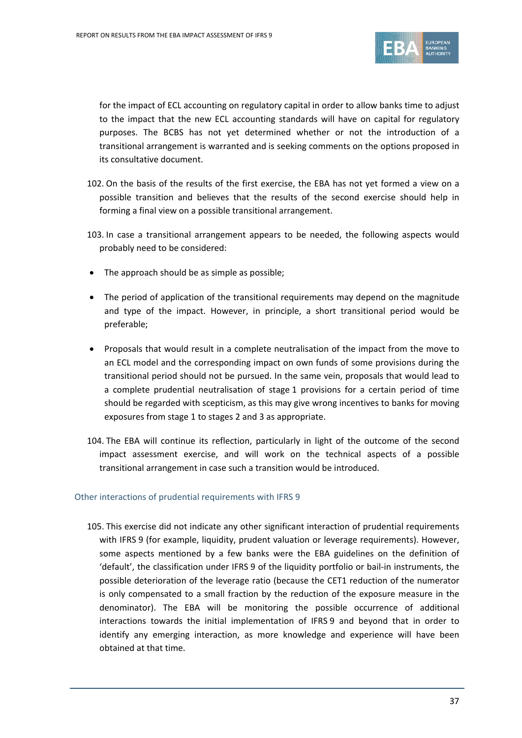

for the impact of ECL accounting on regulatory capital in order to allow banks time to adjust to the impact that the new ECL accounting standards will have on capital for regulatory purposes. The BCBS has not yet determined whether or not the introduction of a transitional arrangement is warranted and is seeking comments on the options proposed in its consultative document.

- 102. On the basis of the results of the first exercise, the EBA has not yet formed a view on a possible transition and believes that the results of the second exercise should help in forming a final view on a possible transitional arrangement.
- 103. In case a transitional arrangement appears to be needed, the following aspects would probably need to be considered:
- The approach should be as simple as possible;
- The period of application of the transitional requirements may depend on the magnitude and type of the impact. However, in principle, a short transitional period would be preferable;
- Proposals that would result in a complete neutralisation of the impact from the move to an ECL model and the corresponding impact on own funds of some provisions during the transitional period should not be pursued. In the same vein, proposals that would lead to a complete prudential neutralisation of stage 1 provisions for a certain period of time should be regarded with scepticism, as this may give wrong incentives to banks for moving exposures from stage 1 to stages 2 and 3 as appropriate.
- 104. The EBA will continue its reflection, particularly in light of the outcome of the second impact assessment exercise, and will work on the technical aspects of a possible transitional arrangement in case such a transition would be introduced.

## Other interactions of prudential requirements with IFRS 9

105. This exercise did not indicate any other significant interaction of prudential requirements with IFRS 9 (for example, liquidity, prudent valuation or leverage requirements). However, some aspects mentioned by a few banks were the EBA guidelines on the definition of 'default', the classification under IFRS 9 of the liquidity portfolio or bail-in instruments, the possible deterioration of the leverage ratio (because the CET1 reduction of the numerator is only compensated to a small fraction by the reduction of the exposure measure in the denominator). The EBA will be monitoring the possible occurrence of additional interactions towards the initial implementation of IFRS 9 and beyond that in order to identify any emerging interaction, as more knowledge and experience will have been obtained at that time.